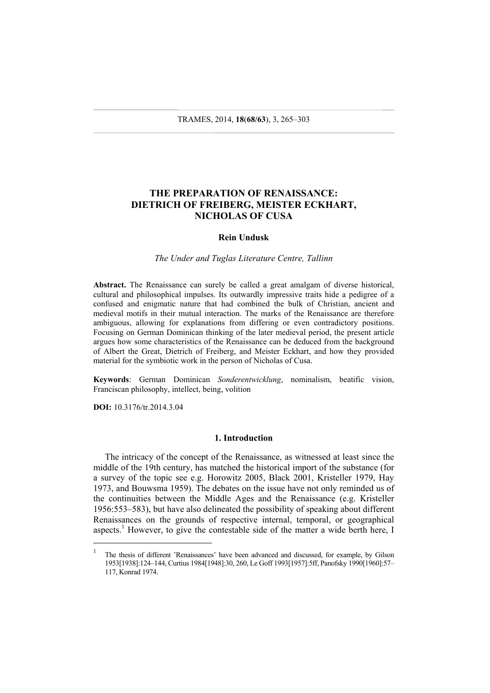# **THE PREPARATION OF RENAISSANCE: DIETRICH OF FREIBERG, MEISTER ECKHART, NICHOLAS OF CUSA**

#### **Rein Undusk**

#### *The Under and Tuglas Literature Centre, Tallinn*

**Abstract.** The Renaissance can surely be called a great amalgam of diverse historical, cultural and philosophical impulses. Its outwardly impressive traits hide a pedigree of a confused and enigmatic nature that had combined the bulk of Christian, ancient and medieval motifs in their mutual interaction. The marks of the Renaissance are therefore ambiguous, allowing for explanations from differing or even contradictory positions. Focusing on German Dominican thinking of the later medieval period, the present article argues how some characteristics of the Renaissance can be deduced from the background of Albert the Great, Dietrich of Freiberg, and Meister Eckhart, and how they provided material for the symbiotic work in the person of Nicholas of Cusa.

**Keywords**: German Dominican *Sonderentwicklung*, nominalism, beatific vision, Franciscan philosophy, intellect, being, volition

**DOI:** 10.3176/tr.2014.3.04

l

#### **1. Introduction**

The intricacy of the concept of the Renaissance, as witnessed at least since the middle of the 19th century, has matched the historical import of the substance (for a survey of the topic see e.g. Horowitz 2005, Black 2001, Kristeller 1979, Hay 1973, and Bouwsma 1959). The debates on the issue have not only reminded us of the continuities between the Middle Ages and the Renaissance (e.g. Kristeller 1956:553–583), but have also delineated the possibility of speaking about different Renaissances on the grounds of respective internal, temporal, or geographical aspects.<sup>1</sup> However, to give the contestable side of the matter a wide berth here, I

<sup>1</sup> The thesis of different 'Renaissances' have been advanced and discussed, for example, by Gilson 1953[1938]:124–144, Curtius 1984[1948]:30, 260, Le Goff 1993[1957]:5ff, Panofsky 1990[1960]:57– 117, Konrad 1974.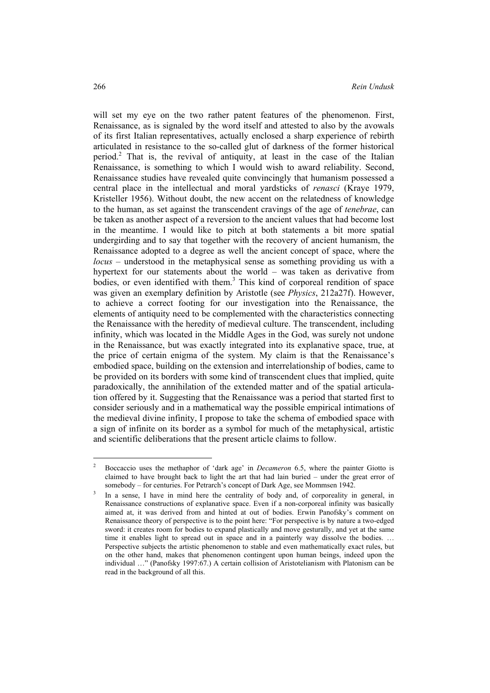will set my eye on the two rather patent features of the phenomenon. First, Renaissance, as is signaled by the word itself and attested to also by the avowals of its first Italian representatives, actually enclosed a sharp experience of rebirth articulated in resistance to the so-called glut of darkness of the former historical period.<sup>2</sup> That is, the revival of antiquity, at least in the case of the Italian Renaissance, is something to which I would wish to award reliability. Second, Renaissance studies have revealed quite convincingly that humanism possessed a central place in the intellectual and moral yardsticks of *renasci* (Kraye 1979, Kristeller 1956). Without doubt, the new accent on the relatedness of knowledge to the human, as set against the transcendent cravings of the age of *tenebrae*, can be taken as another aspect of a reversion to the ancient values that had become lost in the meantime. I would like to pitch at both statements a bit more spatial undergirding and to say that together with the recovery of ancient humanism, the Renaissance adopted to a degree as well the ancient concept of space, where the *locus* – understood in the metaphysical sense as something providing us with a hypertext for our statements about the world – was taken as derivative from bodies, or even identified with them.<sup>3</sup> This kind of corporeal rendition of space was given an exemplary definition by Aristotle (see *Physics*, 212a27f). However, to achieve a correct footing for our investigation into the Renaissance, the elements of antiquity need to be complemented with the characteristics connecting the Renaissance with the heredity of medieval culture. The transcendent, including infinity, which was located in the Middle Ages in the God, was surely not undone in the Renaissance, but was exactly integrated into its explanative space, true, at the price of certain enigma of the system. My claim is that the Renaissance's embodied space, building on the extension and interrelationship of bodies, came to be provided on its borders with some kind of transcendent clues that implied, quite paradoxically, the annihilation of the extended matter and of the spatial articulation offered by it. Suggesting that the Renaissance was a period that started first to consider seriously and in a mathematical way the possible empirical intimations of the medieval divine infinity, I propose to take the schema of embodied space with a sign of infinite on its border as a symbol for much of the metaphysical, artistic and scientific deliberations that the present article claims to follow.

 $\overline{\phantom{a}}$ 

<sup>2</sup> Boccaccio uses the methaphor of 'dark age' in *Decameron* 6.5, where the painter Giotto is claimed to have brought back to light the art that had lain buried – under the great error of somebody – for centuries. For Petrarch's concept of Dark Age, see Mommsen 1942.

In a sense, I have in mind here the centrality of body and, of corporeality in general, in Renaissance constructions of explanative space. Even if a non-corporeal infinity was basically aimed at, it was derived from and hinted at out of bodies. Erwin Panofsky's comment on Renaissance theory of perspective is to the point here: "For perspective is by nature a two-edged sword: it creates room for bodies to expand plastically and move gesturally, and yet at the same time it enables light to spread out in space and in a painterly way dissolve the bodies. … Perspective subjects the artistic phenomenon to stable and even mathematically exact rules, but on the other hand, makes that phenomenon contingent upon human beings, indeed upon the individual …" (Panofsky 1997:67.) A certain collision of Aristotelianism with Platonism can be read in the background of all this.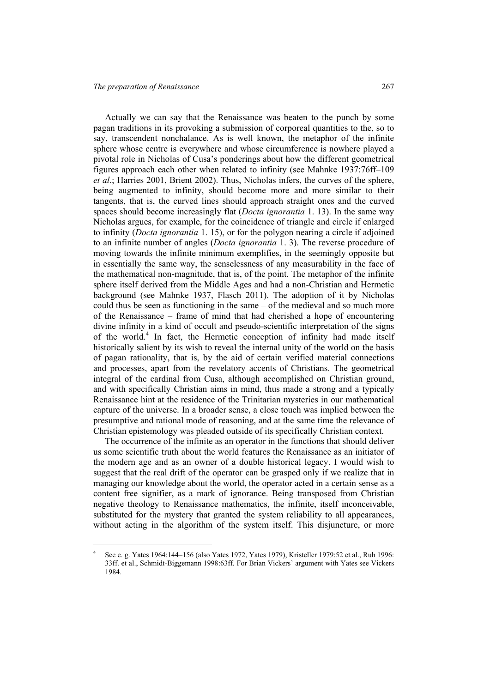l

Actually we can say that the Renaissance was beaten to the punch by some pagan traditions in its provoking a submission of corporeal quantities to the, so to say, transcendent nonchalance. As is well known, the metaphor of the infinite sphere whose centre is everywhere and whose circumference is nowhere played a pivotal role in Nicholas of Cusa's ponderings about how the different geometrical figures approach each other when related to infinity (see Mahnke 1937:76ff–109 *et al*.; Harries 2001, Brient 2002). Thus, Nicholas infers, the curves of the sphere, being augmented to infinity, should become more and more similar to their tangents, that is, the curved lines should approach straight ones and the curved spaces should become increasingly flat (*Docta ignorantia* 1. 13). In the same way Nicholas argues, for example, for the coincidence of triangle and circle if enlarged to infinity (*Docta ignorantia* 1. 15), or for the polygon nearing a circle if adjoined to an infinite number of angles (*Docta ignorantia* 1. 3). The reverse procedure of moving towards the infinite minimum exemplifies, in the seemingly opposite but in essentially the same way, the senselessness of any measurability in the face of the mathematical non-magnitude, that is, of the point. The metaphor of the infinite sphere itself derived from the Middle Ages and had a non-Christian and Hermetic background (see Mahnke 1937, Flasch 2011). The adoption of it by Nicholas could thus be seen as functioning in the same – of the medieval and so much more of the Renaissance – frame of mind that had cherished a hope of encountering divine infinity in a kind of occult and pseudo-scientific interpretation of the signs of the world.<sup>4</sup> In fact, the Hermetic conception of infinity had made itself historically salient by its wish to reveal the internal unity of the world on the basis of pagan rationality, that is, by the aid of certain verified material connections and processes, apart from the revelatory accents of Christians. The geometrical integral of the cardinal from Cusa, although accomplished on Christian ground, and with specifically Christian aims in mind, thus made a strong and a typically Renaissance hint at the residence of the Trinitarian mysteries in our mathematical capture of the universe. In a broader sense, a close touch was implied between the presumptive and rational mode of reasoning, and at the same time the relevance of Christian epistemology was pleaded outside of its specifically Christian context.

The occurrence of the infinite as an operator in the functions that should deliver us some scientific truth about the world features the Renaissance as an initiator of the modern age and as an owner of a double historical legacy. I would wish to suggest that the real drift of the operator can be grasped only if we realize that in managing our knowledge about the world, the operator acted in a certain sense as a content free signifier, as a mark of ignorance. Being transposed from Christian negative theology to Renaissance mathematics, the infinite, itself inconceivable, substituted for the mystery that granted the system reliability to all appearances, without acting in the algorithm of the system itself. This disjuncture, or more

<sup>4</sup> See e. g. Yates 1964:144–156 (also Yates 1972, Yates 1979), Kristeller 1979:52 et al., Ruh 1996: 33ff. et al., Schmidt-Biggemann 1998:63ff. For Brian Vickers' argument with Yates see Vickers 1984.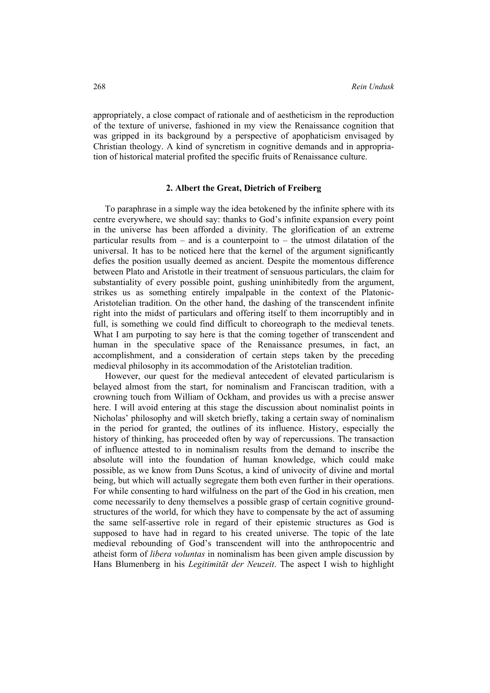appropriately, a close compact of rationale and of aestheticism in the reproduction of the texture of universe, fashioned in my view the Renaissance cognition that was gripped in its background by a perspective of apophaticism envisaged by Christian theology. A kind of syncretism in cognitive demands and in appropriation of historical material profited the specific fruits of Renaissance culture.

## **2. Albert the Great, Dietrich of Freiberg**

To paraphrase in a simple way the idea betokened by the infinite sphere with its centre everywhere, we should say: thanks to God's infinite expansion every point in the universe has been afforded a divinity. The glorification of an extreme particular results from  $-$  and is a counterpoint to  $-$  the utmost dilatation of the universal. It has to be noticed here that the kernel of the argument significantly defies the position usually deemed as ancient. Despite the momentous difference between Plato and Aristotle in their treatment of sensuous particulars, the claim for substantiality of every possible point, gushing uninhibitedly from the argument, strikes us as something entirely impalpable in the context of the Platonic-Aristotelian tradition. On the other hand, the dashing of the transcendent infinite right into the midst of particulars and offering itself to them incorruptibly and in full, is something we could find difficult to choreograph to the medieval tenets. What I am purpoting to say here is that the coming together of transcendent and human in the speculative space of the Renaissance presumes, in fact, an accomplishment, and a consideration of certain steps taken by the preceding medieval philosophy in its accommodation of the Aristotelian tradition.

However, our quest for the medieval antecedent of elevated particularism is belayed almost from the start, for nominalism and Franciscan tradition, with a crowning touch from William of Ockham, and provides us with a precise answer here. I will avoid entering at this stage the discussion about nominalist points in Nicholas' philosophy and will sketch briefly, taking a certain sway of nominalism in the period for granted, the outlines of its influence. History, especially the history of thinking, has proceeded often by way of repercussions. The transaction of influence attested to in nominalism results from the demand to inscribe the absolute will into the foundation of human knowledge, which could make possible, as we know from Duns Scotus, a kind of univocity of divine and mortal being, but which will actually segregate them both even further in their operations. For while consenting to hard wilfulness on the part of the God in his creation, men come necessarily to deny themselves a possible grasp of certain cognitive groundstructures of the world, for which they have to compensate by the act of assuming the same self-assertive role in regard of their epistemic structures as God is supposed to have had in regard to his created universe. The topic of the late medieval rebounding of God's transcendent will into the anthropocentric and atheist form of *libera voluntas* in nominalism has been given ample discussion by Hans Blumenberg in his *Legitimität der Neuzeit*. The aspect I wish to highlight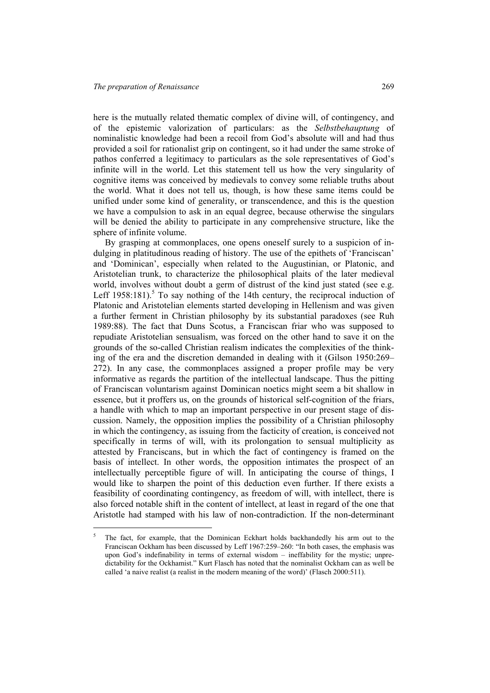l

here is the mutually related thematic complex of divine will, of contingency, and of the epistemic valorization of particulars: as the *Selbstbehauptung* of nominalistic knowledge had been a recoil from God's absolute will and had thus provided a soil for rationalist grip on contingent, so it had under the same stroke of pathos conferred a legitimacy to particulars as the sole representatives of God's infinite will in the world. Let this statement tell us how the very singularity of cognitive items was conceived by medievals to convey some reliable truths about the world. What it does not tell us, though, is how these same items could be unified under some kind of generality, or transcendence, and this is the question we have a compulsion to ask in an equal degree, because otherwise the singulars will be denied the ability to participate in any comprehensive structure, like the sphere of infinite volume.

By grasping at commonplaces, one opens oneself surely to a suspicion of indulging in platitudinous reading of history. The use of the epithets of 'Franciscan' and 'Dominican', especially when related to the Augustinian, or Platonic, and Aristotelian trunk, to characterize the philosophical plaits of the later medieval world, involves without doubt a germ of distrust of the kind just stated (see e.g. Leff 1958:181).<sup>5</sup> To say nothing of the 14th century, the reciprocal induction of Platonic and Aristotelian elements started developing in Hellenism and was given a further ferment in Christian philosophy by its substantial paradoxes (see Ruh 1989:88). The fact that Duns Scotus, a Franciscan friar who was supposed to repudiate Aristotelian sensualism, was forced on the other hand to save it on the grounds of the so-called Christian realism indicates the complexities of the thinking of the era and the discretion demanded in dealing with it (Gilson 1950:269– 272). In any case, the commonplaces assigned a proper profile may be very informative as regards the partition of the intellectual landscape. Thus the pitting of Franciscan voluntarism against Dominican noetics might seem a bit shallow in essence, but it proffers us, on the grounds of historical self-cognition of the friars, a handle with which to map an important perspective in our present stage of discussion. Namely, the opposition implies the possibility of a Christian philosophy in which the contingency, as issuing from the facticity of creation, is conceived not specifically in terms of will, with its prolongation to sensual multiplicity as attested by Franciscans, but in which the fact of contingency is framed on the basis of intellect. In other words, the opposition intimates the prospect of an intellectually perceptible figure of will. In anticipating the course of things, I would like to sharpen the point of this deduction even further. If there exists a feasibility of coordinating contingency, as freedom of will, with intellect, there is also forced notable shift in the content of intellect, at least in regard of the one that Aristotle had stamped with his law of non-contradiction. If the non-determinant

<sup>5</sup> The fact, for example, that the Dominican Eckhart holds backhandedly his arm out to the Franciscan Ockham has been discussed by Leff 1967:259–260: "In both cases, the emphasis was upon God's indefinability in terms of external wisdom – ineffability for the mystic; unpredictability for the Ockhamist." Kurt Flasch has noted that the nominalist Ockham can as well be called 'a naive realist (a realist in the modern meaning of the word)' (Flasch 2000:511).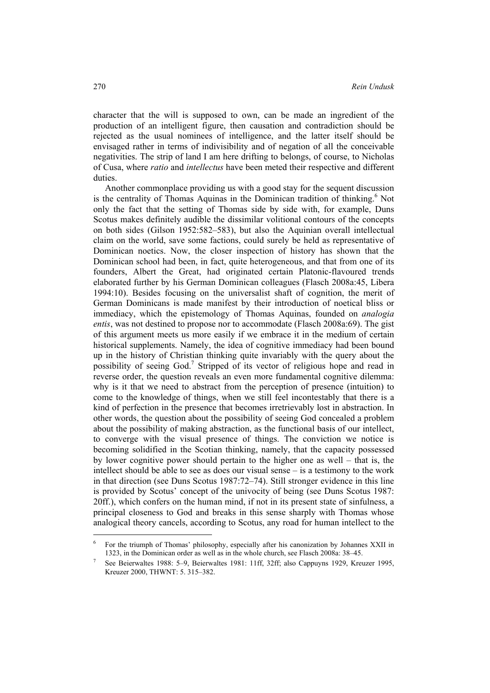character that the will is supposed to own, can be made an ingredient of the production of an intelligent figure, then causation and contradiction should be rejected as the usual nominees of intelligence, and the latter itself should be envisaged rather in terms of indivisibility and of negation of all the conceivable negativities. The strip of land I am here drifting to belongs, of course, to Nicholas of Cusa, where *ratio* and *intellectus* have been meted their respective and different duties.

Another commonplace providing us with a good stay for the sequent discussion is the centrality of Thomas Aquinas in the Dominican tradition of thinking.<sup>6</sup> Not only the fact that the setting of Thomas side by side with, for example, Duns Scotus makes definitely audible the dissimilar volitional contours of the concepts on both sides (Gilson 1952:582–583), but also the Aquinian overall intellectual claim on the world, save some factions, could surely be held as representative of Dominican noetics. Now, the closer inspection of history has shown that the Dominican school had been, in fact, quite heterogeneous, and that from one of its founders, Albert the Great, had originated certain Platonic-flavoured trends elaborated further by his German Dominican colleagues (Flasch 2008a:45, Libera 1994:10). Besides focusing on the universalist shaft of cognition, the merit of German Dominicans is made manifest by their introduction of noetical bliss or immediacy, which the epistemology of Thomas Aquinas, founded on *analogia entis*, was not destined to propose nor to accommodate (Flasch 2008a:69). The gist of this argument meets us more easily if we embrace it in the medium of certain historical supplements. Namely, the idea of cognitive immediacy had been bound up in the history of Christian thinking quite invariably with the query about the possibility of seeing God.<sup>7</sup> Stripped of its vector of religious hope and read in reverse order, the question reveals an even more fundamental cognitive dilemma: why is it that we need to abstract from the perception of presence (intuition) to come to the knowledge of things, when we still feel incontestably that there is a kind of perfection in the presence that becomes irretrievably lost in abstraction. In other words, the question about the possibility of seeing God concealed a problem about the possibility of making abstraction, as the functional basis of our intellect, to converge with the visual presence of things. The conviction we notice is becoming solidified in the Scotian thinking, namely, that the capacity possessed by lower cognitive power should pertain to the higher one as well – that is, the intellect should be able to see as does our visual sense – is a testimony to the work in that direction (see Duns Scotus 1987:72–74). Still stronger evidence in this line is provided by Scotus' concept of the univocity of being (see Duns Scotus 1987: 20ff.), which confers on the human mind, if not in its present state of sinfulness, a principal closeness to God and breaks in this sense sharply with Thomas whose analogical theory cancels, according to Scotus, any road for human intellect to the

<sup>6</sup> For the triumph of Thomas' philosophy, especially after his canonization by Johannes XXII in 1323, in the Dominican order as well as in the whole church, see Flasch 2008a: 38–45. 7

See Beierwaltes 1988: 5–9, Beierwaltes 1981: 11ff, 32ff; also Cappuyns 1929, Kreuzer 1995, Kreuzer 2000, THWNT: 5. 315–382.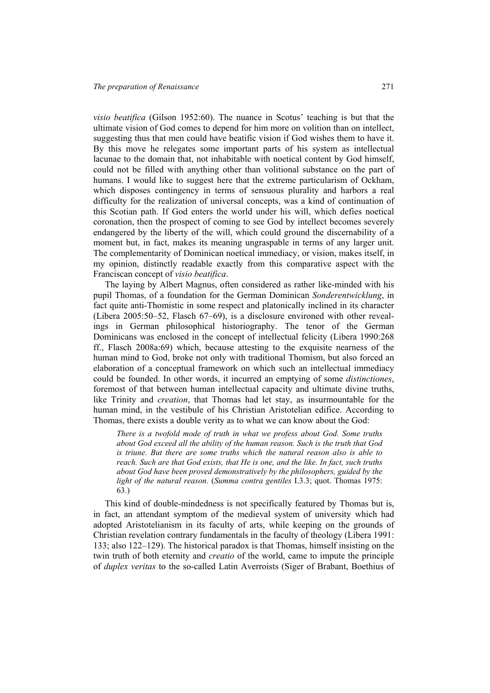*visio beatifica* (Gilson 1952:60). The nuance in Scotus' teaching is but that the ultimate vision of God comes to depend for him more on volition than on intellect, suggesting thus that men could have beatific vision if God wishes them to have it. By this move he relegates some important parts of his system as intellectual lacunae to the domain that, not inhabitable with noetical content by God himself, could not be filled with anything other than volitional substance on the part of humans. I would like to suggest here that the extreme particularism of Ockham, which disposes contingency in terms of sensuous plurality and harbors a real difficulty for the realization of universal concepts, was a kind of continuation of this Scotian path. If God enters the world under his will, which defies noetical coronation, then the prospect of coming to see God by intellect becomes severely endangered by the liberty of the will, which could ground the discernability of a moment but, in fact, makes its meaning ungraspable in terms of any larger unit. The complementarity of Dominican noetical immediacy, or vision, makes itself, in my opinion, distinctly readable exactly from this comparative aspect with the Franciscan concept of *visio beatifica*.

The laying by Albert Magnus, often considered as rather like-minded with his pupil Thomas, of a foundation for the German Dominican *Sonderentwicklung*, in fact quite anti-Thomistic in some respect and platonically inclined in its character (Libera 2005:50–52, Flasch 67–69), is a disclosure environed with other revealings in German philosophical historiography. The tenor of the German Dominicans was enclosed in the concept of intellectual felicity (Libera 1990:268 ff., Flasch 2008a:69) which, because attesting to the exquisite nearness of the human mind to God, broke not only with traditional Thomism, but also forced an elaboration of a conceptual framework on which such an intellectual immediacy could be founded. In other words, it incurred an emptying of some *distinctiones*, foremost of that between human intellectual capacity and ultimate divine truths, like Trinity and *creation*, that Thomas had let stay, as insurmountable for the human mind, in the vestibule of his Christian Aristotelian edifice. According to Thomas, there exists a double verity as to what we can know about the God:

*There is a twofold mode of truth in what we profess about God. Some truths about God exceed all the ability of the human reason. Such is the truth that God is triune. But there are some truths which the natural reason also is able to reach. Such are that God exists, that He is one, and the like. In fact, such truths about God have been proved demonstratively by the philosophers, guided by the light of the natural reason.* (*Summa contra gentiles* I.3.3; quot. Thomas 1975: 63.)

This kind of double-mindedness is not specifically featured by Thomas but is, in fact, an attendant symptom of the medieval system of university which had adopted Aristotelianism in its faculty of arts, while keeping on the grounds of Christian revelation contrary fundamentals in the faculty of theology (Libera 1991: 133; also 122–129). The historical paradox is that Thomas, himself insisting on the twin truth of both eternity and *creatio* of the world, came to impute the principle of *duplex veritas* to the so-called Latin Averroists (Siger of Brabant, Boethius of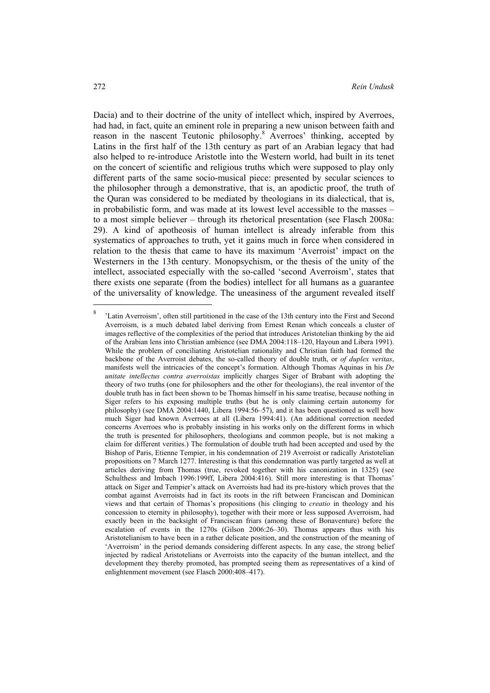Dacia) and to their doctrine of the unity of intellect which, inspired by Averroes, had had, in fact, quite an eminent role in preparing a new unison between faith and reason in the nascent Teutonic philosophy.<sup>8</sup> Averroes' thinking, accepted by Latins in the first half of the 13th century as part of an Arabian legacy that had also helped to re-introduce Aristotle into the Western world, had built in its tenet on the concert of scientific and religious truths which were supposed to play only different parts of the same socio-musical piece: presented by secular sciences to the philosopher through a demonstrative, that is, an apodictic proof, the truth of the Quran was considered to be mediated by theologians in its dialectical, that is, in probabilistic form, and was made at its lowest level accessible to the masses – to a most simple believer – through its rhetorical presentation (see Flasch 2008a: 29). A kind of apotheosis of human intellect is already inferable from this systematics of approaches to truth, yet it gains much in force when considered in relation to the thesis that came to have its maximum 'Averroist' impact on the Westerners in the 13th century. Monopsychism, or the thesis of the unity of the intellect, associated especially with the so-called 'second Averroism', states that there exists one separate (from the bodies) intellect for all humans as a guarantee of the universality of knowledge. The uneasiness of the argument revealed itself

<sup>8</sup> 'Latin Averroism', often still partitioned in the case of the 13th century into the First and Second Averroism, is a much debated label deriving from Ernest Renan which conceals a cluster of images reflective of the complexities of the period that introduces Aristotelian thinking by the aid of the Arabian lens into Christian ambience (see DMA 2004:118–120, Hayoun and Libera 1991). While the problem of conciliating Aristotelian rationality and Christian faith had formed the backbone of the Averroist debates, the so-called theory of double truth, or *of duplex veritas*, manifests well the intricacies of the concept's formation. Although Thomas Aquinas in his *De unitate intellectus contra averroistas* implicitly charges Siger of Brabant with adopting the theory of two truths (one for philosophers and the other for theologians), the real inventor of the double truth has in fact been shown to be Thomas himself in his same treatise, because nothing in Siger refers to his exposing multiple truths (but he is only claiming certain autonomy for philosophy) (see DMA 2004:1440, Libera 1994:56–57), and it has been questioned as well how much Siger had known Averroes at all (Libera 1994:41). (An additional correction needed concerns Averroes who is probably insisting in his works only on the different forms in which the truth is presented for philosophers, theologians and common people, but is not making a claim for different verities.) The formulation of double truth had been accepted and used by the Bishop of Paris, Etienne Tempier, in his condemnation of 219 Averroist or radically Aristotelian propositions on 7 March 1277. Interesting is that this condemnation was partly targeted as well at articles deriving from Thomas (true, revoked together with his canonization in 1325) (see Schulthess and Imbach 1996:199ff, Libera 2004:416). Still more interesting is that Thomas' attack on Siger and Tempier's attack on Averroists had had its pre-history which proves that the combat against Averroists had in fact its roots in the rift between Franciscan and Dominican views and that certain of Thomas's propositions (his clinging to *creatio* in theology and his concession to eternity in philosophy), together with their more or less supposed Averroism, had exactly been in the backsight of Franciscan friars (among these of Bonaventure) before the escalation of events in the 1270s (Gilson 2006:26–30). Thomas appears thus with his Aristotelianism to have been in a rather delicate position, and the construction of the meaning of 'Averroism' in the period demands considering different aspects. In any case, the strong belief injected by radical Aristotelians or Averroists into the capacity of the human intellect, and the development they thereby promoted, has prompted seeing them as representatives of a kind of enlightenment movement (see Flasch 2000:408–417).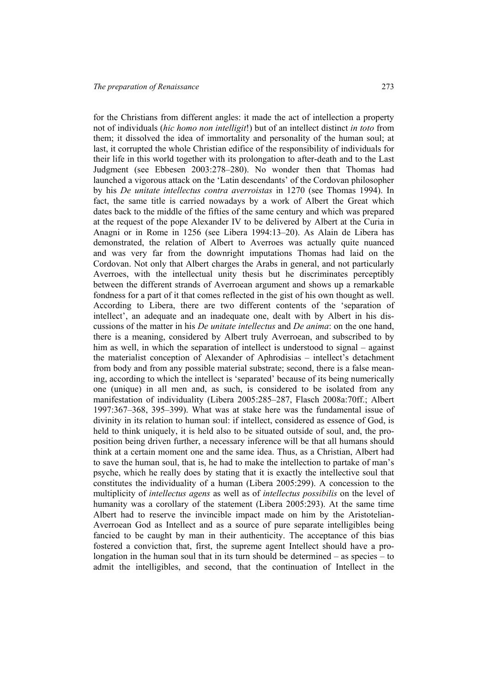for the Christians from different angles: it made the act of intellection a property not of individuals (*hic homo non intelligit*!) but of an intellect distinct *in toto* from them; it dissolved the idea of immortality and personality of the human soul; at last, it corrupted the whole Christian edifice of the responsibility of individuals for their life in this world together with its prolongation to after-death and to the Last Judgment (see Ebbesen 2003:278–280). No wonder then that Thomas had launched a vigorous attack on the 'Latin descendants' of the Cordovan philosopher by his *De unitate intellectus contra averroistas* in 1270 (see Thomas 1994). In fact, the same title is carried nowadays by a work of Albert the Great which dates back to the middle of the fifties of the same century and which was prepared at the request of the pope Alexander IV to be delivered by Albert at the Curia in Anagni or in Rome in 1256 (see Libera 1994:13–20). As Alain de Libera has demonstrated, the relation of Albert to Averroes was actually quite nuanced and was very far from the downright imputations Thomas had laid on the Cordovan. Not only that Albert charges the Arabs in general, and not particularly Averroes, with the intellectual unity thesis but he discriminates perceptibly

between the different strands of Averroean argument and shows up a remarkable fondness for a part of it that comes reflected in the gist of his own thought as well. According to Libera, there are two different contents of the 'separation of intellect', an adequate and an inadequate one, dealt with by Albert in his discussions of the matter in his *De unitate intellectus* and *De anima*: on the one hand, there is a meaning, considered by Albert truly Averroean, and subscribed to by him as well, in which the separation of intellect is understood to signal – against the materialist conception of Alexander of Aphrodisias – intellect's detachment from body and from any possible material substrate; second, there is a false meaning, according to which the intellect is 'separated' because of its being numerically one (unique) in all men and, as such, is considered to be isolated from any manifestation of individuality (Libera 2005:285–287, Flasch 2008a:70ff.; Albert 1997:367–368, 395–399). What was at stake here was the fundamental issue of divinity in its relation to human soul: if intellect, considered as essence of God, is held to think uniquely, it is held also to be situated outside of soul, and, the proposition being driven further, a necessary inference will be that all humans should think at a certain moment one and the same idea. Thus, as a Christian, Albert had to save the human soul, that is, he had to make the intellection to partake of man's psyche, which he really does by stating that it is exactly the intellective soul that constitutes the individuality of a human (Libera 2005:299). A concession to the multiplicity of *intellectus agens* as well as of *intellectus possibilis* on the level of humanity was a corollary of the statement (Libera 2005:293). At the same time Albert had to reserve the invincible impact made on him by the Aristotelian-Averroean God as Intellect and as a source of pure separate intelligibles being fancied to be caught by man in their authenticity. The acceptance of this bias fostered a conviction that, first, the supreme agent Intellect should have a prolongation in the human soul that in its turn should be determined  $-$  as species  $-$  to

admit the intelligibles, and second, that the continuation of Intellect in the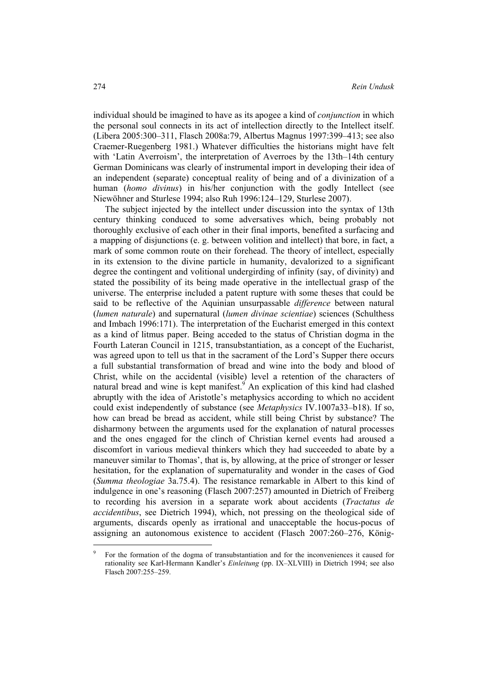individual should be imagined to have as its apogee a kind of *conjunction* in which the personal soul connects in its act of intellection directly to the Intellect itself. (Libera 2005:300–311, Flasch 2008a:79, Albertus Magnus 1997:399–413; see also Craemer-Ruegenberg 1981.) Whatever difficulties the historians might have felt with 'Latin Averroism', the interpretation of Averroes by the 13th–14th century German Dominicans was clearly of instrumental import in developing their idea of an independent (separate) conceptual reality of being and of a divinization of a human (*homo divinus*) in his/her conjunction with the godly Intellect (see Niewöhner and Sturlese 1994; also Ruh 1996:124–129, Sturlese 2007).

The subject injected by the intellect under discussion into the syntax of 13th century thinking conduced to some adversatives which, being probably not thoroughly exclusive of each other in their final imports, benefited a surfacing and a mapping of disjunctions (e. g. between volition and intellect) that bore, in fact, a mark of some common route on their forehead. The theory of intellect, especially in its extension to the divine particle in humanity, devalorized to a significant degree the contingent and volitional undergirding of infinity (say, of divinity) and stated the possibility of its being made operative in the intellectual grasp of the universe. The enterprise included a patent rupture with some theses that could be said to be reflective of the Aquinian unsurpassable *difference* between natural (*lumen naturale*) and supernatural (*lumen divinae scientiae*) sciences (Schulthess and Imbach 1996:171). The interpretation of the Eucharist emerged in this context as a kind of litmus paper. Being acceded to the status of Christian dogma in the Fourth Lateran Council in 1215, transubstantiation, as a concept of the Eucharist, was agreed upon to tell us that in the sacrament of the Lord's Supper there occurs a full substantial transformation of bread and wine into the body and blood of Christ, while on the accidental (visible) level a retention of the characters of natural bread and wine is kept manifest. $\overset{9}{\ }$  An explication of this kind had clashed abruptly with the idea of Aristotle's metaphysics according to which no accident could exist independently of substance (see *Metaphysics* IV.1007a33–b18). If so, how can bread be bread as accident, while still being Christ by substance? The disharmony between the arguments used for the explanation of natural processes and the ones engaged for the clinch of Christian kernel events had aroused a discomfort in various medieval thinkers which they had succeeded to abate by a maneuver similar to Thomas', that is, by allowing, at the price of stronger or lesser hesitation, for the explanation of supernaturality and wonder in the cases of God (*Summa theologiae* 3a.75.4). The resistance remarkable in Albert to this kind of indulgence in one's reasoning (Flasch 2007:257) amounted in Dietrich of Freiberg to recording his aversion in a separate work about accidents (*Tractatus de accidentibus*, see Dietrich 1994), which, not pressing on the theological side of arguments, discards openly as irrational and unacceptable the hocus-pocus of assigning an autonomous existence to accident (Flasch 2007:260–276, König-

<sup>9</sup> For the formation of the dogma of transubstantiation and for the inconveniences it caused for rationality see Karl-Hermann Kandler's *Einleitung* (pp. IX–XLVIII) in Dietrich 1994; see also Flasch 2007:255–259.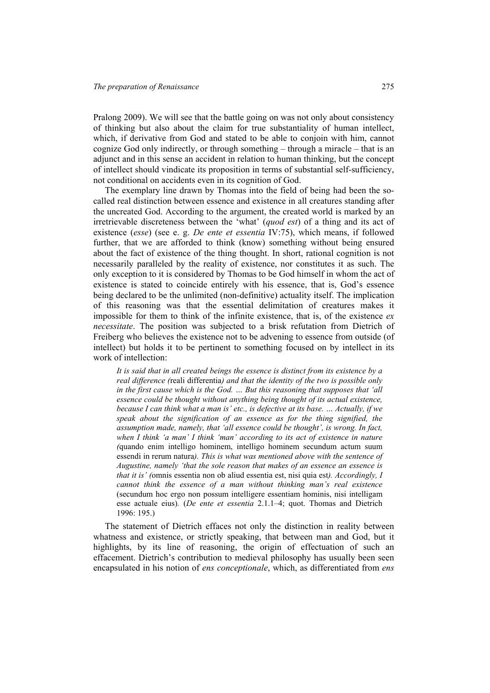Pralong 2009). We will see that the battle going on was not only about consistency of thinking but also about the claim for true substantiality of human intellect, which, if derivative from God and stated to be able to conjoin with him, cannot cognize God only indirectly, or through something – through a miracle – that is an adjunct and in this sense an accident in relation to human thinking, but the concept of intellect should vindicate its proposition in terms of substantial self-sufficiency, not conditional on accidents even in its cognition of God.

The exemplary line drawn by Thomas into the field of being had been the socalled real distinction between essence and existence in all creatures standing after the uncreated God. According to the argument, the created world is marked by an irretrievable discreteness between the 'what' (*quod est*) of a thing and its act of existence (*esse*) (see e. g. *De ente et essentia* IV:75), which means, if followed further, that we are afforded to think (know) something without being ensured about the fact of existence of the thing thought. In short, rational cognition is not necessarily paralleled by the reality of existence, nor constitutes it as such. The only exception to it is considered by Thomas to be God himself in whom the act of existence is stated to coincide entirely with his essence, that is, God's essence being declared to be the unlimited (non-definitive) actuality itself. The implication of this reasoning was that the essential delimitation of creatures makes it impossible for them to think of the infinite existence, that is, of the existence *ex necessitate*. The position was subjected to a brisk refutation from Dietrich of Freiberg who believes the existence not to be advening to essence from outside (of intellect) but holds it to be pertinent to something focused on by intellect in its work of intellection:

*It is said that in all created beings the essence is distinct from its existence by a real difference (*reali differentia*) and that the identity of the two is possible only in the first cause which is the God. ... But this reasoning that supposes that 'all essence could be thought without anything being thought of its actual existence, because I can think what a man is' etc., is defective at its base. … Actually, if we speak about the signification of an essence as for the thing signified, the assumption made, namely, that 'all essence could be thought', is wrong. In fact, when I think 'a man' I think 'man' according to its act of existence in nature (*quando enim intelligo hominem, intelligo hominem secundum actum suum essendi in rerum natura*). This is what was mentioned above with the sentence of Augustine, namely 'that the sole reason that makes of an essence an essence is that it is' (*omnis essentia non ob aliud essentia est, nisi quia est*). Accordingly, I cannot think the essence of a man without thinking man's real existence*  (secundum hoc ergo non possum intelligere essentiam hominis, nisi intelligam esse actuale eius)*.* (*De ente et essentia* 2.1.1–4; quot. Thomas and Dietrich 1996: 195.)

The statement of Dietrich effaces not only the distinction in reality between whatness and existence, or strictly speaking, that between man and God, but it highlights, by its line of reasoning, the origin of effectuation of such an effacement. Dietrich's contribution to medieval philosophy has usually been seen encapsulated in his notion of *ens conceptionale*, which, as differentiated from *ens*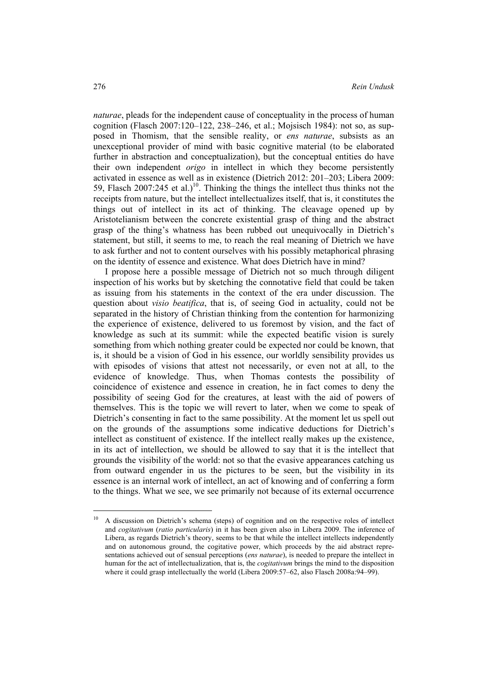*naturae*, pleads for the independent cause of conceptuality in the process of human cognition (Flasch 2007:120–122, 238–246, et al.; Mojsisch 1984): not so, as supposed in Thomism, that the sensible reality, or *ens naturae*, subsists as an unexceptional provider of mind with basic cognitive material (to be elaborated further in abstraction and conceptualization), but the conceptual entities do have their own independent *origo* in intellect in which they become persistently activated in essence as well as in existence (Dietrich 2012: 201–203; Libera 2009: 59, Flasch  $2007:245$  et al.)<sup>10</sup>. Thinking the things the intellect thus thinks not the receipts from nature, but the intellect intellectualizes itself, that is, it constitutes the things out of intellect in its act of thinking. The cleavage opened up by Aristotelianism between the concrete existential grasp of thing and the abstract grasp of the thing's whatness has been rubbed out unequivocally in Dietrich's statement, but still, it seems to me, to reach the real meaning of Dietrich we have to ask further and not to content ourselves with his possibly metaphorical phrasing on the identity of essence and existence. What does Dietrich have in mind?

I propose here a possible message of Dietrich not so much through diligent inspection of his works but by sketching the connotative field that could be taken as issuing from his statements in the context of the era under discussion. The question about *visio beatifica*, that is, of seeing God in actuality, could not be separated in the history of Christian thinking from the contention for harmonizing the experience of existence, delivered to us foremost by vision, and the fact of knowledge as such at its summit: while the expected beatific vision is surely something from which nothing greater could be expected nor could be known, that is, it should be a vision of God in his essence, our worldly sensibility provides us with episodes of visions that attest not necessarily, or even not at all, to the evidence of knowledge. Thus, when Thomas contests the possibility of coincidence of existence and essence in creation, he in fact comes to deny the possibility of seeing God for the creatures, at least with the aid of powers of themselves. This is the topic we will revert to later, when we come to speak of Dietrich's consenting in fact to the same possibility. At the moment let us spell out on the grounds of the assumptions some indicative deductions for Dietrich's intellect as constituent of existence. If the intellect really makes up the existence, in its act of intellection, we should be allowed to say that it is the intellect that grounds the visibility of the world: not so that the evasive appearances catching us from outward engender in us the pictures to be seen, but the visibility in its essence is an internal work of intellect, an act of knowing and of conferring a form to the things. What we see, we see primarily not because of its external occurrence

 $\overline{\phantom{a}}$ 

<sup>&</sup>lt;sup>10</sup> A discussion on Dietrich's schema (steps) of cognition and on the respective roles of intellect and *cogitativum* (*ratio particularis*) in it has been given also in Libera 2009. The inference of Libera, as regards Dietrich's theory, seems to be that while the intellect intellects independently and on autonomous ground, the cogitative power, which proceeds by the aid abstract representations achieved out of sensual perceptions (*ens naturae*), is needed to prepare the intellect in human for the act of intellectualization, that is, the *cogitativum* brings the mind to the disposition where it could grasp intellectually the world (Libera 2009:57–62, also Flasch 2008a:94–99).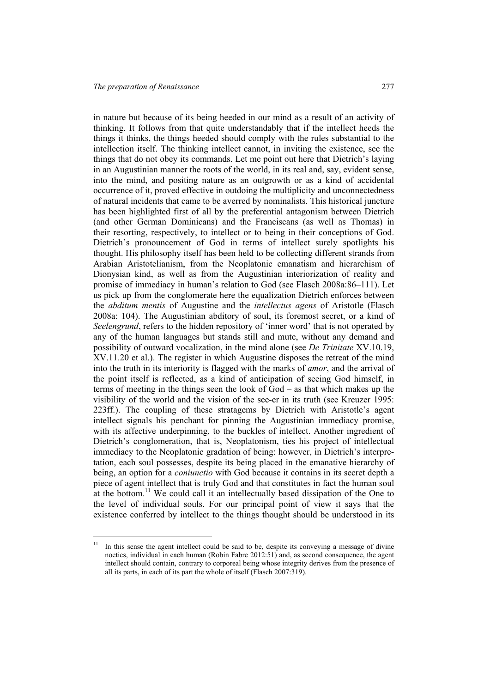l

in nature but because of its being heeded in our mind as a result of an activity of thinking. It follows from that quite understandably that if the intellect heeds the things it thinks, the things heeded should comply with the rules substantial to the intellection itself. The thinking intellect cannot, in inviting the existence, see the things that do not obey its commands. Let me point out here that Dietrich's laying in an Augustinian manner the roots of the world, in its real and, say, evident sense, into the mind, and positing nature as an outgrowth or as a kind of accidental occurrence of it, proved effective in outdoing the multiplicity and unconnectedness of natural incidents that came to be averred by nominalists. This historical juncture has been highlighted first of all by the preferential antagonism between Dietrich (and other German Dominicans) and the Franciscans (as well as Thomas) in their resorting, respectively, to intellect or to being in their conceptions of God. Dietrich's pronouncement of God in terms of intellect surely spotlights his thought. His philosophy itself has been held to be collecting different strands from Arabian Aristotelianism, from the Neoplatonic emanatism and hierarchism of Dionysian kind, as well as from the Augustinian interiorization of reality and promise of immediacy in human's relation to God (see Flasch 2008a:86–111). Let us pick up from the conglomerate here the equalization Dietrich enforces between the *abditum mentis* of Augustine and the *intellectus agens* of Aristotle (Flasch 2008a: 104). The Augustinian abditory of soul, its foremost secret, or a kind of *Seelengrund*, refers to the hidden repository of 'inner word' that is not operated by any of the human languages but stands still and mute, without any demand and possibility of outward vocalization, in the mind alone (see *De Trinitate* XV.10.19, XV.11.20 et al.). The register in which Augustine disposes the retreat of the mind into the truth in its interiority is flagged with the marks of *amor*, and the arrival of the point itself is reflected, as a kind of anticipation of seeing God himself, in terms of meeting in the things seen the look of God – as that which makes up the visibility of the world and the vision of the see-er in its truth (see Kreuzer 1995: 223ff.). The coupling of these stratagems by Dietrich with Aristotle's agent intellect signals his penchant for pinning the Augustinian immediacy promise, with its affective underpinning, to the buckles of intellect. Another ingredient of Dietrich's conglomeration, that is, Neoplatonism, ties his project of intellectual immediacy to the Neoplatonic gradation of being: however, in Dietrich's interpretation, each soul possesses, despite its being placed in the emanative hierarchy of being, an option for a *coniunctio* with God because it contains in its secret depth a piece of agent intellect that is truly God and that constitutes in fact the human soul at the bottom.<sup>11</sup> We could call it an intellectually based dissipation of the One to the level of individual souls. For our principal point of view it says that the existence conferred by intellect to the things thought should be understood in its

<sup>&</sup>lt;sup>11</sup> In this sense the agent intellect could be said to be, despite its conveying a message of divine noetics, individual in each human (Robin Fabre 2012:51) and, as second consequence, the agent intellect should contain, contrary to corporeal being whose integrity derives from the presence of all its parts, in each of its part the whole of itself (Flasch 2007:319).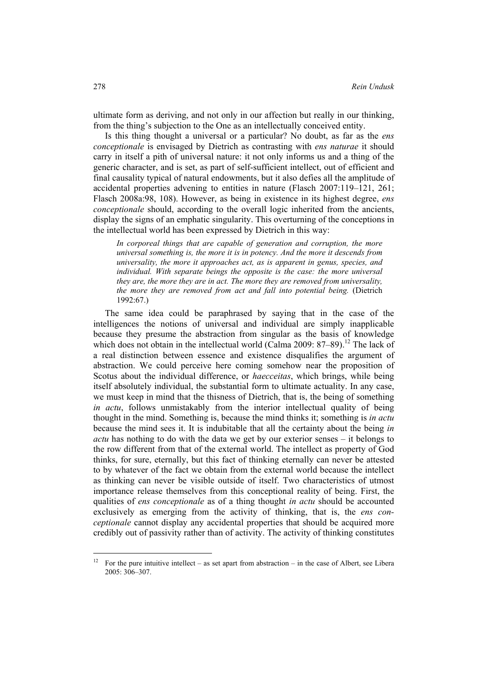ultimate form as deriving, and not only in our affection but really in our thinking, from the thing's subjection to the One as an intellectually conceived entity.

Is this thing thought a universal or a particular? No doubt, as far as the *ens conceptionale* is envisaged by Dietrich as contrasting with *ens naturae* it should carry in itself a pith of universal nature: it not only informs us and a thing of the generic character, and is set, as part of self-sufficient intellect, out of efficient and final causality typical of natural endowments, but it also defies all the amplitude of accidental properties advening to entities in nature (Flasch 2007:119–121, 261; Flasch 2008a:98, 108). However, as being in existence in its highest degree, *ens conceptionale* should, according to the overall logic inherited from the ancients, display the signs of an emphatic singularity. This overturning of the conceptions in the intellectual world has been expressed by Dietrich in this way:

*In corporeal things that are capable of generation and corruption, the more universal something is, the more it is in potency. And the more it descends from universality, the more it approaches act, as is apparent in genus, species, and individual. With separate beings the opposite is the case: the more universal they are, the more they are in act. The more they are removed from universality, the more they are removed from act and fall into potential being.* (Dietrich 1992:67.)

The same idea could be paraphrased by saying that in the case of the intelligences the notions of universal and individual are simply inapplicable because they presume the abstraction from singular as the basis of knowledge which does not obtain in the intellectual world (Calma 2009:  $87-89$ ).<sup>12</sup> The lack of a real distinction between essence and existence disqualifies the argument of abstraction. We could perceive here coming somehow near the proposition of Scotus about the individual difference, or *haecceitas*, which brings, while being itself absolutely individual, the substantial form to ultimate actuality. In any case, we must keep in mind that the thisness of Dietrich, that is, the being of something *in actu*, follows unmistakably from the interior intellectual quality of being thought in the mind. Something is, because the mind thinks it; something is *in actu* because the mind sees it. It is indubitable that all the certainty about the being *in actu* has nothing to do with the data we get by our exterior senses – it belongs to the row different from that of the external world. The intellect as property of God thinks, for sure, eternally, but this fact of thinking eternally can never be attested to by whatever of the fact we obtain from the external world because the intellect as thinking can never be visible outside of itself. Two characteristics of utmost importance release themselves from this conceptional reality of being. First, the qualities of *ens conceptionale* as of a thing thought *in actu* should be accounted exclusively as emerging from the activity of thinking, that is, the *ens conceptionale* cannot display any accidental properties that should be acquired more credibly out of passivity rather than of activity. The activity of thinking constitutes

 $\overline{\phantom{a}}$ 

<sup>&</sup>lt;sup>12</sup> For the pure intuitive intellect – as set apart from abstraction – in the case of Albert, see Libera 2005: 306–307.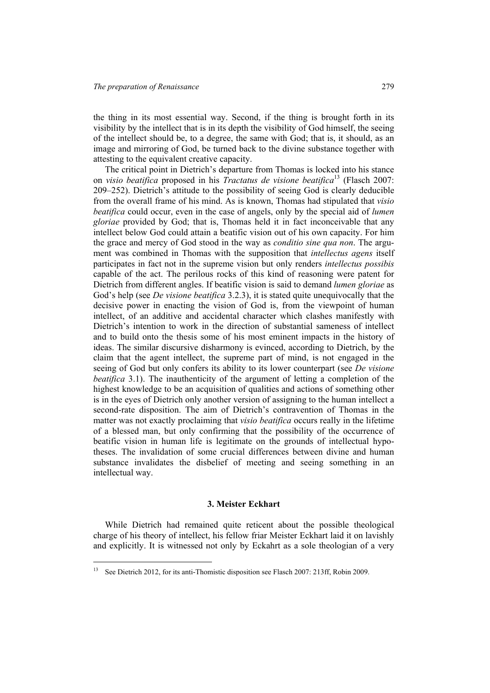the thing in its most essential way. Second, if the thing is brought forth in its visibility by the intellect that is in its depth the visibility of God himself, the seeing of the intellect should be, to a degree, the same with God; that is, it should, as an image and mirroring of God, be turned back to the divine substance together with attesting to the equivalent creative capacity.

The critical point in Dietrich's departure from Thomas is locked into his stance on *visio beatifica* proposed in his *Tractatus de visione beatifica*13 (Flasch 2007: 209–252). Dietrich's attitude to the possibility of seeing God is clearly deducible from the overall frame of his mind. As is known, Thomas had stipulated that *visio beatifica* could occur, even in the case of angels, only by the special aid of *lumen gloriae* provided by God; that is, Thomas held it in fact inconceivable that any intellect below God could attain a beatific vision out of his own capacity. For him the grace and mercy of God stood in the way as *conditio sine qua non*. The argument was combined in Thomas with the supposition that *intellectus agens* itself participates in fact not in the supreme vision but only renders *intellectus possibis* capable of the act. The perilous rocks of this kind of reasoning were patent for Dietrich from different angles. If beatific vision is said to demand *lumen gloriae* as God's help (see *De visione beatifica* 3.2.3), it is stated quite unequivocally that the decisive power in enacting the vision of God is, from the viewpoint of human intellect, of an additive and accidental character which clashes manifestly with Dietrich's intention to work in the direction of substantial sameness of intellect and to build onto the thesis some of his most eminent impacts in the history of ideas. The similar discursive disharmony is evinced, according to Dietrich, by the claim that the agent intellect, the supreme part of mind, is not engaged in the seeing of God but only confers its ability to its lower counterpart (see *De visione beatifica* 3.1). The inauthenticity of the argument of letting a completion of the highest knowledge to be an acquisition of qualities and actions of something other is in the eyes of Dietrich only another version of assigning to the human intellect a second-rate disposition. The aim of Dietrich's contravention of Thomas in the matter was not exactly proclaiming that *visio beatifica* occurs really in the lifetime of a blessed man, but only confirming that the possibility of the occurrence of beatific vision in human life is legitimate on the grounds of intellectual hypotheses. The invalidation of some crucial differences between divine and human substance invalidates the disbelief of meeting and seeing something in an intellectual way.

## **3. Meister Eckhart**

While Dietrich had remained quite reticent about the possible theological charge of his theory of intellect, his fellow friar Meister Eckhart laid it on lavishly and explicitly. It is witnessed not only by Eckahrt as a sole theologian of a very

<sup>13</sup> See Dietrich 2012, for its anti-Thomistic disposition see Flasch 2007: 213ff, Robin 2009.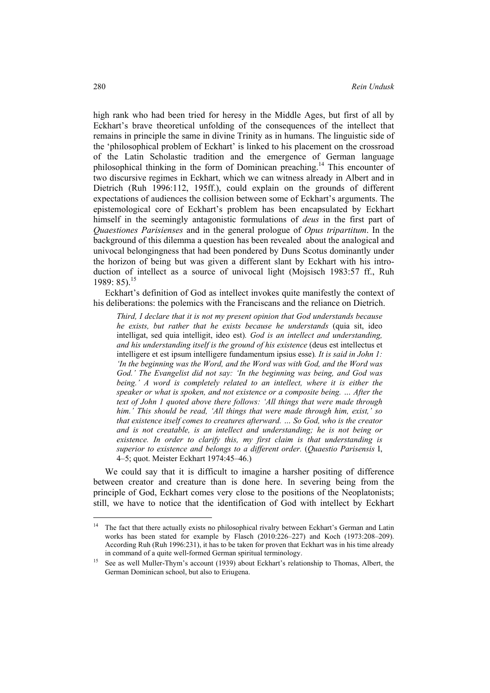high rank who had been tried for heresy in the Middle Ages, but first of all by Eckhart's brave theoretical unfolding of the consequences of the intellect that remains in principle the same in divine Trinity as in humans. The linguistic side of the 'philosophical problem of Eckhart' is linked to his placement on the crossroad of the Latin Scholastic tradition and the emergence of German language philosophical thinking in the form of Dominican preaching.<sup>14</sup> This encounter of two discursive regimes in Eckhart, which we can witness already in Albert and in Dietrich (Ruh 1996:112, 195ff.), could explain on the grounds of different expectations of audiences the collision between some of Eckhart's arguments. The epistemological core of Eckhart's problem has been encapsulated by Eckhart himself in the seemingly antagonistic formulations of *deus* in the first part of *Quaestiones Parisienses* and in the general prologue of *Opus tripartitum*. In the background of this dilemma a question has been revealed about the analogical and univocal belongingness that had been pondered by Duns Scotus dominantly under the horizon of being but was given a different slant by Eckhart with his introduction of intellect as a source of univocal light (Mojsisch 1983:57 ff., Ruh 1989: 85).<sup>15</sup>

Eckhart's definition of God as intellect invokes quite manifestly the context of his deliberations: the polemics with the Franciscans and the reliance on Dietrich.

*Third, I declare that it is not my present opinion that God understands because he exists, but rather that he exists because he understands* (quia sit, ideo intelligat, sed quia intelligit, ideo est)*. God is an intellect and understanding, and his understanding itself is the ground of his existence* (deus est intellectus et intelligere et est ipsum intelligere fundamentum ipsius esse)*. It is said in John 1: 'In the beginning was the Word, and the Word was with God, and the Word was God.' The Evangelist did not say: 'In the beginning was being, and God was being.' A word is completely related to an intellect, where it is either the speaker or what is spoken, and not existence or a composite being. … After the text of John 1 quoted above there follows: 'All things that were made through him.' This should be read, 'All things that were made through him, exist,' so that existence itself comes to creatures afterward. … So God, who is the creator and is not creatable, is an intellect and understanding; he is not being or existence. In order to clarify this, my first claim is that understanding is superior to existence and belongs to a different order.* (*Quaestio Parisensis* I, 4–5; quot. Meister Eckhart 1974:45–46.)

We could say that it is difficult to imagine a harsher positing of difference between creator and creature than is done here. In severing being from the principle of God, Eckhart comes very close to the positions of the Neoplatonists; still, we have to notice that the identification of God with intellect by Eckhart

<sup>&</sup>lt;sup>14</sup> The fact that there actually exists no philosophical rivalry between Eckhart's German and Latin works has been stated for example by Flasch (2010:226–227) and Koch (1973:208–209). According Ruh (Ruh 1996:231), it has to be taken for proven that Eckhart was in his time already in command of a quite well-formed German spiritual terminology.<br>15 See as well Muller-Thym's account (1939) about Eckhart's relationship to Thomas, Albert, the

German Dominican school, but also to Eriugena.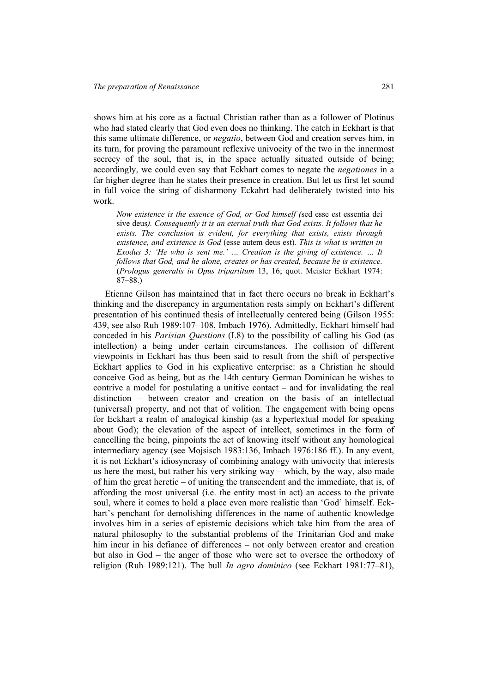shows him at his core as a factual Christian rather than as a follower of Plotinus who had stated clearly that God even does no thinking. The catch in Eckhart is that this same ultimate difference, or *negatio*, between God and creation serves him, in its turn, for proving the paramount reflexive univocity of the two in the innermost secrecy of the soul, that is, in the space actually situated outside of being; accordingly, we could even say that Eckhart comes to negate the *negationes* in a far higher degree than he states their presence in creation. But let us first let sound in full voice the string of disharmony Eckahrt had deliberately twisted into his work.

*Now existence is the essence of God, or God himself (*sed esse est essentia dei sive deus*). Consequently it is an eternal truth that God exists. It follows that he exists. The conclusion is evident, for everything that exists, exists through existence, and existence is God* (esse autem deus est)*. This is what is written in Exodus 3: 'He who is sent me.' … Creation is the giving of existence. … It follows that God, and he alone, creates or has created, because he is existence.*  (*Prologus generalis in Opus tripartitum* 13, 16; quot. Meister Eckhart 1974: 87–88.)

Etienne Gilson has maintained that in fact there occurs no break in Eckhart's thinking and the discrepancy in argumentation rests simply on Eckhart's different presentation of his continued thesis of intellectually centered being (Gilson 1955: 439, see also Ruh 1989:107–108, Imbach 1976). Admittedly, Eckhart himself had conceded in his *Parisian Questions* (I.8) to the possibility of calling his God (as intellection) a being under certain circumstances. The collision of different viewpoints in Eckhart has thus been said to result from the shift of perspective Eckhart applies to God in his explicative enterprise: as a Christian he should conceive God as being, but as the 14th century German Dominican he wishes to contrive a model for postulating a unitive contact – and for invalidating the real distinction – between creator and creation on the basis of an intellectual (universal) property, and not that of volition. The engagement with being opens for Eckhart a realm of analogical kinship (as a hypertextual model for speaking about God); the elevation of the aspect of intellect, sometimes in the form of cancelling the being, pinpoints the act of knowing itself without any homological intermediary agency (see Mojsisch 1983:136, Imbach 1976:186 ff.). In any event, it is not Eckhart's idiosyncrasy of combining analogy with univocity that interests us here the most, but rather his very striking way – which, by the way, also made of him the great heretic – of uniting the transcendent and the immediate, that is, of affording the most universal (i.e. the entity most in act) an access to the private soul, where it comes to hold a place even more realistic than 'God' himself. Eckhart's penchant for demolishing differences in the name of authentic knowledge involves him in a series of epistemic decisions which take him from the area of natural philosophy to the substantial problems of the Trinitarian God and make him incur in his defiance of differences – not only between creator and creation but also in God – the anger of those who were set to oversee the orthodoxy of religion (Ruh 1989:121). The bull *In agro dominico* (see Eckhart 1981:77–81),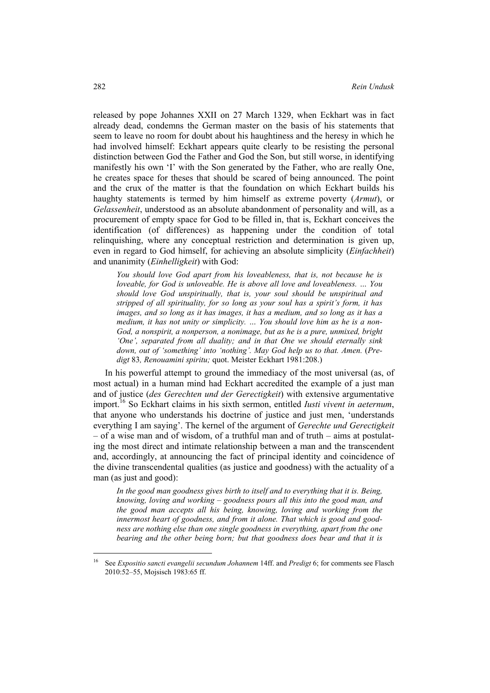released by pope Johannes XXII on 27 March 1329, when Eckhart was in fact already dead, condemns the German master on the basis of his statements that seem to leave no room for doubt about his haughtiness and the heresy in which he had involved himself: Eckhart appears quite clearly to be resisting the personal distinction between God the Father and God the Son, but still worse, in identifying manifestly his own 'I' with the Son generated by the Father, who are really One, he creates space for theses that should be scared of being announced. The point and the crux of the matter is that the foundation on which Eckhart builds his haughty statements is termed by him himself as extreme poverty (*Armut*), or *Gelassenheit*, understood as an absolute abandonment of personality and will, as a procurement of empty space for God to be filled in, that is, Eckhart conceives the identification (of differences) as happening under the condition of total relinquishing, where any conceptual restriction and determination is given up, even in regard to God himself, for achieving an absolute simplicity (*Einfachheit*) and unanimity (*Einhelligkeit*) with God:

*You should love God apart from his loveableness, that is, not because he is loveable, for God is unloveable. He is above all love and loveableness. … You should love God unspiritually, that is, your soul should be unspiritual and stripped of all spirituality, for so long as your soul has a spirit's form, it has images, and so long as it has images, it has a medium, and so long as it has a medium, it has not unity or simplicity. … You should love him as he is a non-God, a nonspirit, a nonperson, a nonimage, but as he is a pure, unmixed, bright 'One', separated from all duality; and in that One we should eternally sink*  down, out of 'something' into 'nothing'. May God help us to that. Amen. (Pre*digt* 83*, Renouamini spiritu;* quot. Meister Eckhart 1981:208.)

In his powerful attempt to ground the immediacy of the most universal (as, of most actual) in a human mind had Eckhart accredited the example of a just man and of justice (*des Gerechten und der Gerectigkeit*) with extensive argumentative import.16 So Eckhart claims in his sixth sermon, entitled *Iusti vivent in aeternum*, that anyone who understands his doctrine of justice and just men, 'understands everything I am saying'. The kernel of the argument of *Gerechte und Gerectigkeit* – of a wise man and of wisdom, of a truthful man and of truth – aims at postulating the most direct and intimate relationship between a man and the transcendent and, accordingly, at announcing the fact of principal identity and coincidence of the divine transcendental qualities (as justice and goodness) with the actuality of a man (as just and good):

*In the good man goodness gives birth to itself and to everything that it is. Being, knowing, loving and working – goodness pours all this into the good man, and the good man accepts all his being, knowing, loving and working from the innermost heart of goodness, and from it alone. That which is good and goodness are nothing else than one single goodness in everything, apart from the one bearing and the other being born; but that goodness does bear and that it is* 

 $\overline{\phantom{a}}$ 

<sup>16</sup> See *Expositio sancti evangelii secundum Johannem* 14ff. and *Predigt* 6; for comments see Flasch 2010:52–55, Mojsisch 1983:65 ff.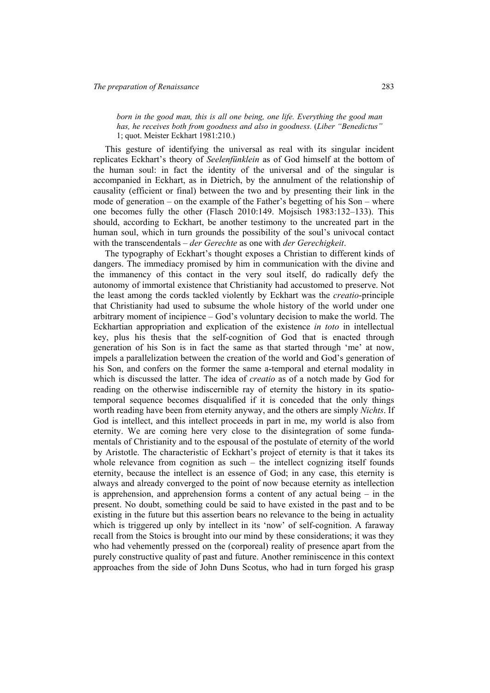*born in the good man, this is all one being, one life. Everything the good man has, he receives both from goodness and also in goodness.* (*Liber "Benedictus"*  1; quot. Meister Eckhart 1981:210.)

This gesture of identifying the universal as real with its singular incident replicates Eckhart's theory of *Seelenfünklein* as of God himself at the bottom of the human soul: in fact the identity of the universal and of the singular is accompanied in Eckhart, as in Dietrich, by the annulment of the relationship of causality (efficient or final) between the two and by presenting their link in the mode of generation – on the example of the Father's begetting of his Son – where one becomes fully the other (Flasch 2010:149. Mojsisch 1983:132–133). This should, according to Eckhart, be another testimony to the uncreated part in the human soul, which in turn grounds the possibility of the soul's univocal contact with the transcendentals – *der Gerechte* as one with *der Gerechigkeit*.

The typography of Eckhart's thought exposes a Christian to different kinds of dangers. The immediacy promised by him in communication with the divine and the immanency of this contact in the very soul itself, do radically defy the autonomy of immortal existence that Christianity had accustomed to preserve. Not the least among the cords tackled violently by Eckhart was the *creatio*-principle that Christianity had used to subsume the whole history of the world under one arbitrary moment of incipience – God's voluntary decision to make the world. The Eckhartian appropriation and explication of the existence *in toto* in intellectual key, plus his thesis that the self-cognition of God that is enacted through generation of his Son is in fact the same as that started through 'me' at now, impels a parallelization between the creation of the world and God's generation of his Son, and confers on the former the same a-temporal and eternal modality in which is discussed the latter. The idea of *creatio* as of a notch made by God for reading on the otherwise indiscernible ray of eternity the history in its spatiotemporal sequence becomes disqualified if it is conceded that the only things worth reading have been from eternity anyway, and the others are simply *Nichts*. If God is intellect, and this intellect proceeds in part in me, my world is also from eternity. We are coming here very close to the disintegration of some fundamentals of Christianity and to the espousal of the postulate of eternity of the world by Aristotle. The characteristic of Eckhart's project of eternity is that it takes its whole relevance from cognition as such – the intellect cognizing itself founds eternity, because the intellect is an essence of God; in any case, this eternity is always and already converged to the point of now because eternity as intellection is apprehension, and apprehension forms a content of any actual being  $-$  in the present. No doubt, something could be said to have existed in the past and to be existing in the future but this assertion bears no relevance to the being in actuality which is triggered up only by intellect in its 'now' of self-cognition. A faraway recall from the Stoics is brought into our mind by these considerations; it was they who had vehemently pressed on the (corporeal) reality of presence apart from the purely constructive quality of past and future. Another reminiscence in this context approaches from the side of John Duns Scotus, who had in turn forged his grasp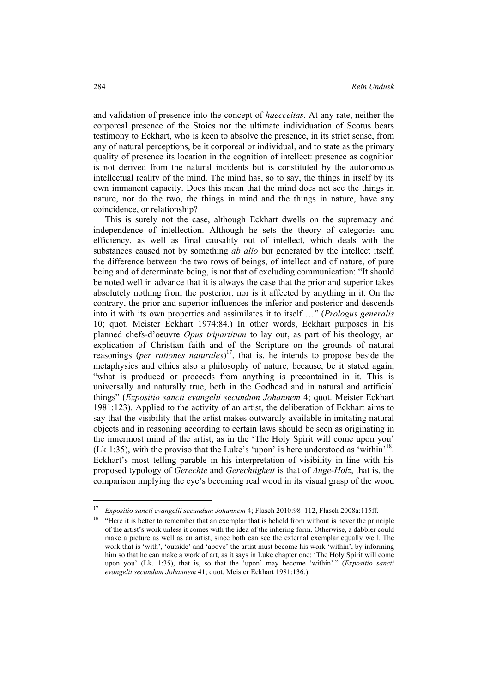and validation of presence into the concept of *haecceitas*. At any rate, neither the corporeal presence of the Stoics nor the ultimate individuation of Scotus bears testimony to Eckhart, who is keen to absolve the presence, in its strict sense, from any of natural perceptions, be it corporeal or individual, and to state as the primary quality of presence its location in the cognition of intellect: presence as cognition is not derived from the natural incidents but is constituted by the autonomous intellectual reality of the mind. The mind has, so to say, the things in itself by its own immanent capacity. Does this mean that the mind does not see the things in nature, nor do the two, the things in mind and the things in nature, have any coincidence, or relationship?

This is surely not the case, although Eckhart dwells on the supremacy and independence of intellection. Although he sets the theory of categories and efficiency, as well as final causality out of intellect, which deals with the substances caused not by something *ab alio* but generated by the intellect itself, the difference between the two rows of beings, of intellect and of nature, of pure being and of determinate being, is not that of excluding communication: "It should be noted well in advance that it is always the case that the prior and superior takes absolutely nothing from the posterior, nor is it affected by anything in it. On the contrary, the prior and superior influences the inferior and posterior and descends into it with its own properties and assimilates it to itself …" (*Prologus generalis* 10; quot. Meister Eckhart 1974:84.) In other words, Eckhart purposes in his planned chefs-d'oeuvre *Opus tripartitum* to lay out, as part of his theology, an explication of Christian faith and of the Scripture on the grounds of natural reasonings (*per rationes naturales*) 17, that is, he intends to propose beside the metaphysics and ethics also a philosophy of nature, because, be it stated again, "what is produced or proceeds from anything is precontained in it. This is universally and naturally true, both in the Godhead and in natural and artificial things" (*Expositio sancti evangelii secundum Johannem* 4; quot. Meister Eckhart 1981:123). Applied to the activity of an artist, the deliberation of Eckhart aims to say that the visibility that the artist makes outwardly available in imitating natural objects and in reasoning according to certain laws should be seen as originating in the innermost mind of the artist, as in the 'The Holy Spirit will come upon you' (Lk 1:35), with the proviso that the Luke's 'upon' is here understood as 'within'18. Eckhart's most telling parable in his interpretation of visibility in line with his proposed typology of *Gerechte* and *Gerechtigkeit* is that of *Auge*-*Holz*, that is, the comparison implying the eye's becoming real wood in its visual grasp of the wood

 $\overline{\phantom{a}}$ 

<sup>&</sup>lt;sup>17</sup>*Expositio sancti evangelii secundum Johannem* 4; Flasch 2010:98–112, Flasch 2008a:115ff.<br><sup>18</sup> "Here it is better to remember that an exemplar that is beheld from without is never the principle of the artist's work unless it comes with the idea of the inhering form. Otherwise, a dabbler could make a picture as well as an artist, since both can see the external exemplar equally well. The work that is 'with', 'outside' and 'above' the artist must become his work 'within', by informing him so that he can make a work of art, as it says in Luke chapter one: 'The Holy Spirit will come upon you' (Lk. 1:35), that is, so that the 'upon' may become 'within'." (*Expositio sancti evangelii secundum Johannem* 41; quot. Meister Eckhart 1981:136.)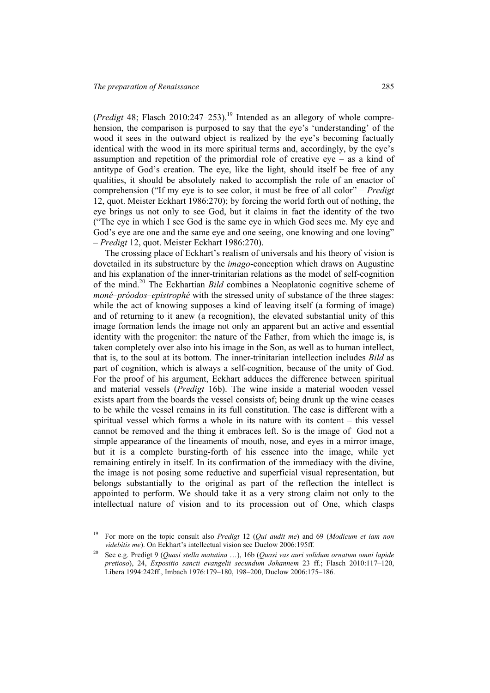l

(*Predigt* 48; Flasch 2010:247–253).<sup>19</sup> Intended as an allegory of whole comprehension, the comparison is purposed to say that the eye's 'understanding' of the wood it sees in the outward object is realized by the eye's becoming factually identical with the wood in its more spiritual terms and, accordingly, by the eye's assumption and repetition of the primordial role of creative eye – as a kind of antitype of God's creation. The eye, like the light, should itself be free of any qualities, it should be absolutely naked to accomplish the role of an enactor of comprehension ("If my eye is to see color, it must be free of all color" – *Predigt* 12, quot. Meister Eckhart 1986:270); by forcing the world forth out of nothing, the eye brings us not only to see God, but it claims in fact the identity of the two ("The eye in which I see God is the same eye in which God sees me. My eye and God's eye are one and the same eye and one seeing, one knowing and one loving" – *Predigt* 12, quot. Meister Eckhart 1986:270).

The crossing place of Eckhart's realism of universals and his theory of vision is dovetailed in its substructure by the *imago*-conception which draws on Augustine and his explanation of the inner-trinitarian relations as the model of self-cognition of the mind.20 The Eckhartian *Bild* combines a Neoplatonic cognitive scheme of *moné*–*próodos*–*epistrophé* with the stressed unity of substance of the three stages: while the act of knowing supposes a kind of leaving itself (a forming of image) and of returning to it anew (a recognition), the elevated substantial unity of this image formation lends the image not only an apparent but an active and essential identity with the progenitor: the nature of the Father, from which the image is, is taken completely over also into his image in the Son, as well as to human intellect, that is, to the soul at its bottom. The inner-trinitarian intellection includes *Bild* as part of cognition, which is always a self-cognition, because of the unity of God. For the proof of his argument, Eckhart adduces the difference between spiritual and material vessels (*Predigt* 16b). The wine inside a material wooden vessel exists apart from the boards the vessel consists of; being drunk up the wine ceases to be while the vessel remains in its full constitution. The case is different with a spiritual vessel which forms a whole in its nature with its content – this vessel cannot be removed and the thing it embraces left. So is the image of God not a simple appearance of the lineaments of mouth, nose, and eyes in a mirror image, but it is a complete bursting-forth of his essence into the image, while yet remaining entirely in itself. In its confirmation of the immediacy with the divine, the image is not posing some reductive and superficial visual representation, but belongs substantially to the original as part of the reflection the intellect is appointed to perform. We should take it as a very strong claim not only to the intellectual nature of vision and to its procession out of One, which clasps

<sup>19</sup> For more on the topic consult also *Predigt* 12 (*Qui audit me*) and 69 (*Modicum et iam non videbitis me*). On Eckhart's intellectual vision see Duclow 2006:195ff. 20 See e.g. Predigt 9 (*Quasi stella matutina* …), 16b (*Quasi vas auri solidum ornatum omni lapide* 

*pretioso*), 24, *Expositio sancti evangelii secundum Johannem* 23 ff.; Flasch 2010:117–120, Libera 1994:242ff., Imbach 1976:179–180, 198–200, Duclow 2006:175–186.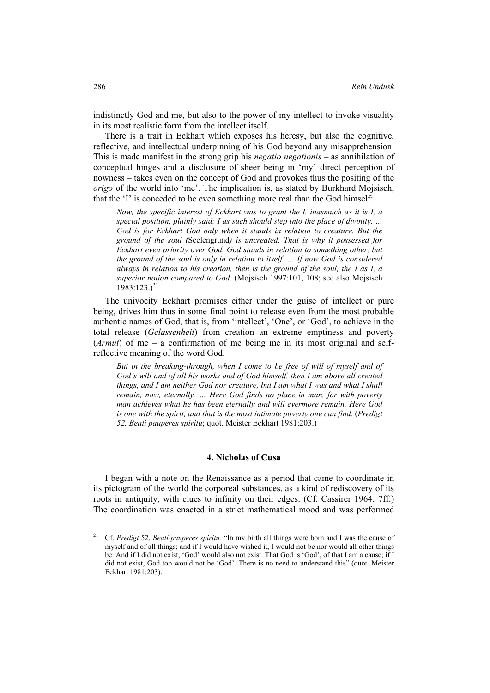indistinctly God and me, but also to the power of my intellect to invoke visuality in its most realistic form from the intellect itself.

There is a trait in Eckhart which exposes his heresy, but also the cognitive, reflective, and intellectual underpinning of his God beyond any misapprehension. This is made manifest in the strong grip his *negatio negationis* – as annihilation of conceptual hinges and a disclosure of sheer being in 'my' direct perception of nowness – takes even on the concept of God and provokes thus the positing of the *origo* of the world into 'me'. The implication is, as stated by Burkhard Mojsisch, that the 'I' is conceded to be even something more real than the God himself:

*Now, the specific interest of Eckhart was to grant the I, inasmuch as it is I, a special position, plainly said: I as such should step into the place of divinity. … God is for Eckhart God only when it stands in relation to creature. But the ground of the soul (*Seelengrund*) is uncreated. That is why it possessed for Eckhart even priority over God. God stands in relation to something other, but the ground of the soul is only in relation to itself. … If now God is considered always in relation to his creation, then is the ground of the soul, the I as I, a superior notion compared to God.* (Mojsisch 1997:101, 108; see also Mojsisch  $1983:123.$ <sup>21</sup>

The univocity Eckhart promises either under the guise of intellect or pure being, drives him thus in some final point to release even from the most probable authentic names of God, that is, from 'intellect', 'One', or 'God', to achieve in the total release (*Gelassenheit*) from creation an extreme emptiness and poverty (*Armut*) of me – a confirmation of me being me in its most original and selfreflective meaning of the word God.

But in the breaking-through, when I come to be free of will of myself and of *God's will and of all his works and of God himself, then I am above all created things, and I am neither God nor creature, but I am what I was and what I shall remain, now, eternally. … Here God finds no place in man, for with poverty man achieves what he has been eternally and will evermore remain. Here God is one with the spirit, and that is the most intimate poverty one can find.* (*Predigt 52, Beati pauperes spiritu*; quot. Meister Eckhart 1981:203.)

### **4. Nicholas of Cusa**

I began with a note on the Renaissance as a period that came to coordinate in its pictogram of the world the corporeal substances, as a kind of rediscovery of its roots in antiquity, with clues to infinity on their edges. (Cf. Cassirer 1964: 7ff.) The coordination was enacted in a strict mathematical mood and was performed

<sup>21</sup> Cf. *Predigt* 52, *Beati pauperes spiritu.* "In my birth all things were born and I was the cause of myself and of all things; and if I would have wished it, I would not be nor would all other things be. And if I did not exist, 'God' would also not exist. That God is 'God', of that I am a cause; if I did not exist, God too would not be 'God'. There is no need to understand this" (quot. Meister Eckhart 1981:203).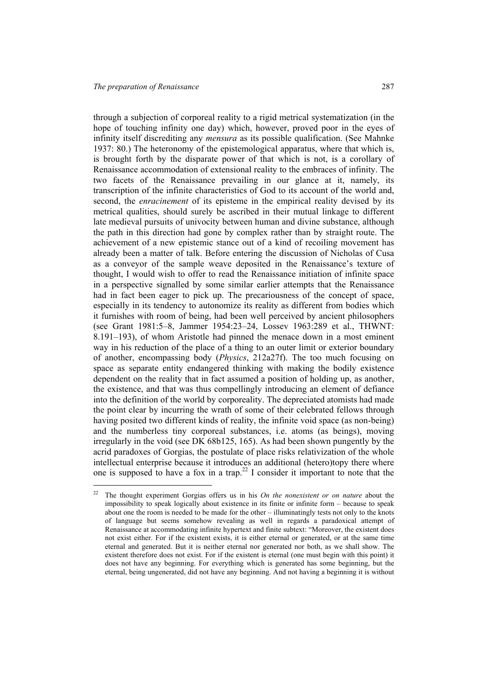$\overline{\phantom{a}}$ 

through a subjection of corporeal reality to a rigid metrical systematization (in the hope of touching infinity one day) which, however, proved poor in the eyes of infinity itself discrediting any *mensura* as its possible qualification. (See Mahnke 1937: 80.) The heteronomy of the epistemological apparatus, where that which is, is brought forth by the disparate power of that which is not, is a corollary of Renaissance accommodation of extensional reality to the embraces of infinity. The two facets of the Renaissance prevailing in our glance at it, namely, its transcription of the infinite characteristics of God to its account of the world and, second, the *enracinement* of its episteme in the empirical reality devised by its metrical qualities, should surely be ascribed in their mutual linkage to different late medieval pursuits of univocity between human and divine substance, although the path in this direction had gone by complex rather than by straight route. The achievement of a new epistemic stance out of a kind of recoiling movement has already been a matter of talk. Before entering the discussion of Nicholas of Cusa as a conveyor of the sample weave deposited in the Renaissance's texture of thought, I would wish to offer to read the Renaissance initiation of infinite space in a perspective signalled by some similar earlier attempts that the Renaissance had in fact been eager to pick up. The precariousness of the concept of space, especially in its tendency to autonomize its reality as different from bodies which it furnishes with room of being, had been well perceived by ancient philosophers (see Grant 1981:5–8, Jammer 1954:23–24, Lossev 1963:289 et al., THWNT: 8.191–193), of whom Aristotle had pinned the menace down in a most eminent way in his reduction of the place of a thing to an outer limit or exterior boundary of another, encompassing body (*Physics*, 212a27f). The too much focusing on space as separate entity endangered thinking with making the bodily existence dependent on the reality that in fact assumed a position of holding up, as another, the existence, and that was thus compellingly introducing an element of defiance into the definition of the world by corporeality. The depreciated atomists had made the point clear by incurring the wrath of some of their celebrated fellows through having posited two different kinds of reality, the infinite void space (as non-being) and the numberless tiny corporeal substances, i.e. atoms (as beings), moving irregularly in the void (see DK 68b125, 165). As had been shown pungently by the acrid paradoxes of Gorgias, the postulate of place risks relativization of the whole intellectual enterprise because it introduces an additional (hetero)topy there where one is supposed to have a fox in a trap.<sup>22</sup> I consider it important to note that the

<sup>22</sup> The thought experiment Gorgias offers us in his *On the nonexistent or on nature* about the impossibility to speak logically about existence in its finite or infinite form – because to speak about one the room is needed to be made for the other – illuminatingly tests not only to the knots of language but seems somehow revealing as well in regards a paradoxical attempt of Renaissance at accommodating infinite hypertext and finite subtext: "Moreover, the existent does not exist either. For if the existent exists, it is either eternal or generated, or at the same time eternal and generated. But it is neither eternal nor generated nor both, as we shall show. The existent therefore does not exist. For if the existent is eternal (one must begin with this point) it does not have any beginning. For everything which is generated has some beginning, but the eternal, being ungenerated, did not have any beginning. And not having a beginning it is without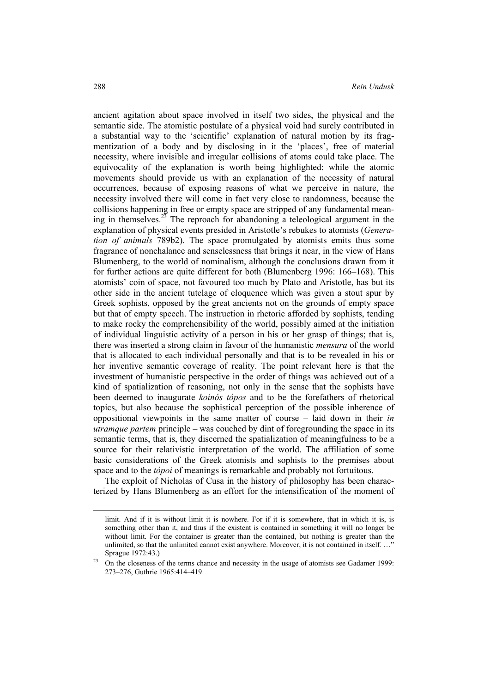ancient agitation about space involved in itself two sides, the physical and the semantic side. The atomistic postulate of a physical void had surely contributed in a substantial way to the 'scientific' explanation of natural motion by its fragmentization of a body and by disclosing in it the 'places', free of material necessity, where invisible and irregular collisions of atoms could take place. The equivocality of the explanation is worth being highlighted: while the atomic movements should provide us with an explanation of the necessity of natural occurrences, because of exposing reasons of what we perceive in nature, the necessity involved there will come in fact very close to randomness, because the collisions happening in free or empty space are stripped of any fundamental meaning in themselves.<sup>23</sup> The reproach for abandoning a teleological argument in the explanation of physical events presided in Aristotle's rebukes to atomists (*Generation of animals* 789b2). The space promulgated by atomists emits thus some fragrance of nonchalance and senselessness that brings it near, in the view of Hans Blumenberg, to the world of nominalism, although the conclusions drawn from it for further actions are quite different for both (Blumenberg 1996: 166–168). This atomists' coin of space, not favoured too much by Plato and Aristotle, has but its other side in the ancient tutelage of eloquence which was given a stout spur by Greek sophists, opposed by the great ancients not on the grounds of empty space but that of empty speech. The instruction in rhetoric afforded by sophists, tending to make rocky the comprehensibility of the world, possibly aimed at the initiation of individual linguistic activity of a person in his or her grasp of things; that is, there was inserted a strong claim in favour of the humanistic *mensura* of the world that is allocated to each individual personally and that is to be revealed in his or her inventive semantic coverage of reality. The point relevant here is that the investment of humanistic perspective in the order of things was achieved out of a kind of spatialization of reasoning, not only in the sense that the sophists have been deemed to inaugurate *koinós tópos* and to be the forefathers of rhetorical topics, but also because the sophistical perception of the possible inherence of oppositional viewpoints in the same matter of course – laid down in their *in utramque partem* principle – was couched by dint of foregrounding the space in its semantic terms, that is, they discerned the spatialization of meaningfulness to be a source for their relativistic interpretation of the world. The affiliation of some basic considerations of the Greek atomists and sophists to the premises about space and to the *tópoi* of meanings is remarkable and probably not fortuitous.

The exploit of Nicholas of Cusa in the history of philosophy has been characterized by Hans Blumenberg as an effort for the intensification of the moment of

limit. And if it is without limit it is nowhere. For if it is somewhere, that in which it is, is something other than it, and thus if the existent is contained in something it will no longer be without limit. For the container is greater than the contained, but nothing is greater than the unlimited, so that the unlimited cannot exist anywhere. Moreover, it is not contained in itself. ...' Sprague 1972:43.)<br>On the closeness of the terms chance and necessity in the usage of atomists see Gadamer 1999:

<sup>273–276,</sup> Guthrie 1965:414–419.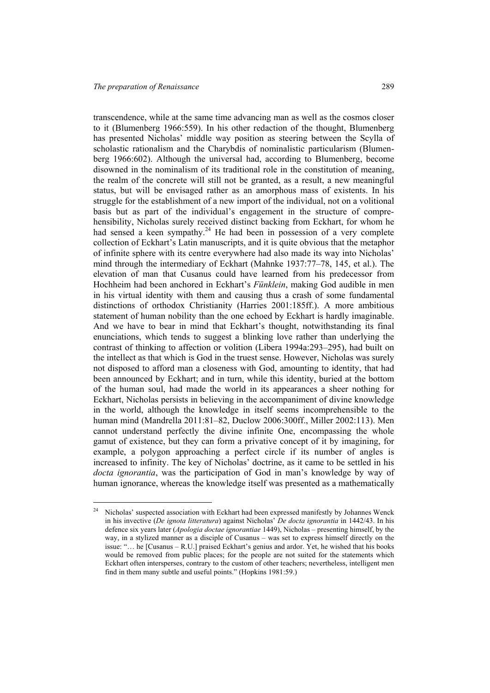l

transcendence, while at the same time advancing man as well as the cosmos closer to it (Blumenberg 1966:559). In his other redaction of the thought, Blumenberg has presented Nicholas' middle way position as steering between the Scylla of scholastic rationalism and the Charybdis of nominalistic particularism (Blumenberg 1966:602). Although the universal had, according to Blumenberg, become disowned in the nominalism of its traditional role in the constitution of meaning, the realm of the concrete will still not be granted, as a result, a new meaningful status, but will be envisaged rather as an amorphous mass of existents. In his struggle for the establishment of a new import of the individual, not on a volitional basis but as part of the individual's engagement in the structure of comprehensibility, Nicholas surely received distinct backing from Eckhart, for whom he had sensed a keen sympathy.<sup>24</sup> He had been in possession of a very complete collection of Eckhart's Latin manuscripts, and it is quite obvious that the metaphor of infinite sphere with its centre everywhere had also made its way into Nicholas' mind through the intermediary of Eckhart (Mahnke 1937:77–78, 145, et al.). The elevation of man that Cusanus could have learned from his predecessor from Hochheim had been anchored in Eckhart's *Fünklein*, making God audible in men in his virtual identity with them and causing thus a crash of some fundamental distinctions of orthodox Christianity (Harries 2001:185ff.). A more ambitious statement of human nobility than the one echoed by Eckhart is hardly imaginable. And we have to bear in mind that Eckhart's thought, notwithstanding its final enunciations, which tends to suggest a blinking love rather than underlying the contrast of thinking to affection or volition (Libera 1994a:293–295), had built on the intellect as that which is God in the truest sense. However, Nicholas was surely not disposed to afford man a closeness with God, amounting to identity, that had been announced by Eckhart; and in turn, while this identity, buried at the bottom of the human soul, had made the world in its appearances a sheer nothing for Eckhart, Nicholas persists in believing in the accompaniment of divine knowledge in the world, although the knowledge in itself seems incomprehensible to the human mind (Mandrella 2011:81–82, Duclow 2006:300ff., Miller 2002:113). Men cannot understand perfectly the divine infinite One, encompassing the whole gamut of existence, but they can form a privative concept of it by imagining, for example, a polygon approaching a perfect circle if its number of angles is increased to infinity. The key of Nicholas' doctrine, as it came to be settled in his *docta ignorantia*, was the participation of God in man's knowledge by way of human ignorance, whereas the knowledge itself was presented as a mathematically

<sup>&</sup>lt;sup>24</sup> Nicholas' suspected association with Eckhart had been expressed manifestly by Johannes Wenck in his invective (*De ignota litteratura*) against Nicholas' *De docta ignorantia* in 1442/43. In his defence six years later (*Apologia doctae ignorantiae* 1449), Nicholas – presenting himself, by the way, in a stylized manner as a disciple of Cusanus – was set to express himself directly on the issue: "… he [Cusanus – R.U.] praised Eckhart's genius and ardor. Yet, he wished that his books would be removed from public places; for the people are not suited for the statements which Eckhart often intersperses, contrary to the custom of other teachers; nevertheless, intelligent men find in them many subtle and useful points." (Hopkins 1981:59.)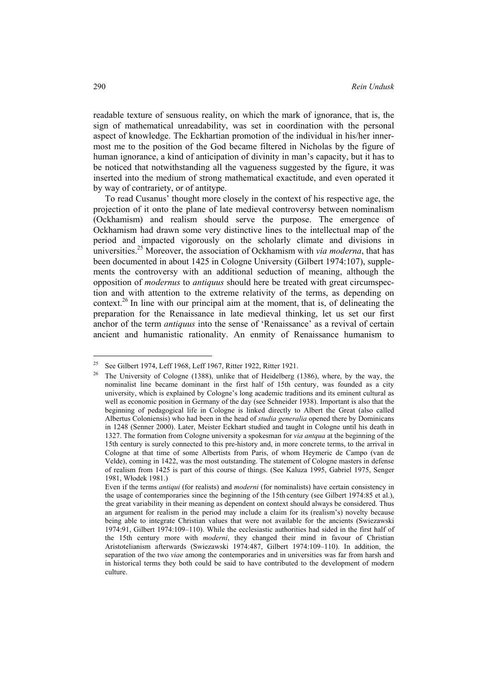readable texture of sensuous reality, on which the mark of ignorance, that is, the sign of mathematical unreadability, was set in coordination with the personal aspect of knowledge. The Eckhartian promotion of the individual in his/her innermost me to the position of the God became filtered in Nicholas by the figure of human ignorance, a kind of anticipation of divinity in man's capacity, but it has to be noticed that notwithstanding all the vagueness suggested by the figure, it was inserted into the medium of strong mathematical exactitude, and even operated it by way of contrariety, or of antitype.

To read Cusanus' thought more closely in the context of his respective age, the projection of it onto the plane of late medieval controversy between nominalism (Ockhamism) and realism should serve the purpose. The emergence of Ockhamism had drawn some very distinctive lines to the intellectual map of the period and impacted vigorously on the scholarly climate and divisions in universities.25 Moreover, the association of Ockhamism with *via moderna*, that has been documented in about 1425 in Cologne University (Gilbert 1974:107), supplements the controversy with an additional seduction of meaning, although the opposition of *modernus* to *antiquus* should here be treated with great circumspection and with attention to the extreme relativity of the terms, as depending on context.<sup>26</sup> In line with our principal aim at the moment, that is, of delineating the preparation for the Renaissance in late medieval thinking, let us set our first anchor of the term *antiquus* into the sense of 'Renaissance' as a revival of certain ancient and humanistic rationality. An enmity of Renaissance humanism to

<sup>&</sup>lt;sup>25</sup> See Gilbert 1974, Leff 1968, Leff 1967, Ritter 1922, Ritter 1921.

<sup>26</sup> The University of Cologne (1388), unlike that of Heidelberg (1386), where, by the way, the nominalist line became dominant in the first half of 15th century, was founded as a city university, which is explained by Cologne's long academic traditions and its eminent cultural as well as economic position in Germany of the day (see Schneider 1938). Important is also that the beginning of pedagogical life in Cologne is linked directly to Albert the Great (also called Albertus Coloniensis) who had been in the head of *studia generalia* opened there by Dominicans in 1248 (Senner 2000). Later, Meister Eckhart studied and taught in Cologne until his death in 1327. The formation from Cologne university a spokesman for *via antqua* at the beginning of the 15th century is surely connected to this pre-history and, in more concrete terms, to the arrival in Cologne at that time of some Albertists from Paris, of whom Heymeric de Campo (van de Velde), coming in 1422, was the most outstanding. The statement of Cologne masters in defense of realism from 1425 is part of this course of things. (See Kaluza 1995, Gabriel 1975, Senger 1981, Włodek 1981.)

Even if the terms *antiqui* (for realists) and *moderni* (for nominalists) have certain consistency in the usage of contemporaries since the beginning of the 15th century (see Gilbert 1974:85 et al.), the great variability in their meaning as dependent on context should always be considered. Thus an argument for realism in the period may include a claim for its (realism's) novelty because being able to integrate Christian values that were not available for the ancients (Swiezawski 1974:91, Gilbert 1974:109–110). While the ecclesiastic authorities had sided in the first half of the 15th century more with *moderni*, they changed their mind in favour of Christian Aristotelianism afterwards (Swiezawski 1974:487, Gilbert 1974:109–110). In addition, the separation of the two *viae* among the contemporaries and in universities was far from harsh and in historical terms they both could be said to have contributed to the development of modern culture.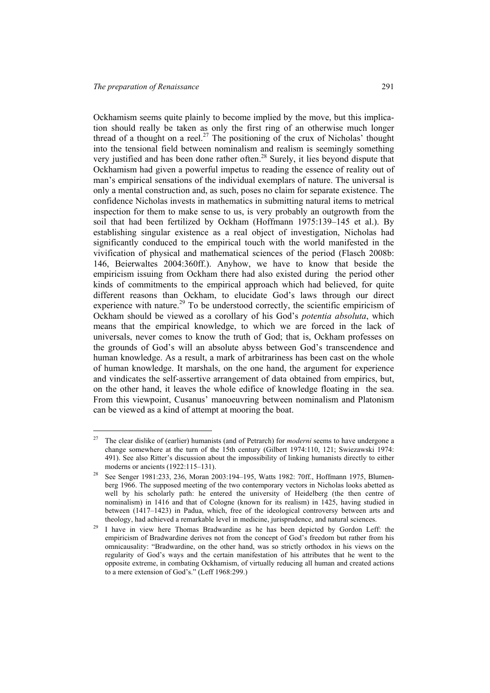$\overline{a}$ 

Ockhamism seems quite plainly to become implied by the move, but this implication should really be taken as only the first ring of an otherwise much longer thread of a thought on a reel.<sup>27</sup> The positioning of the crux of Nicholas' thought into the tensional field between nominalism and realism is seemingly something very justified and has been done rather often.<sup>28</sup> Surely, it lies beyond dispute that Ockhamism had given a powerful impetus to reading the essence of reality out of man's empirical sensations of the individual exemplars of nature. The universal is only a mental construction and, as such, poses no claim for separate existence. The confidence Nicholas invests in mathematics in submitting natural items to metrical inspection for them to make sense to us, is very probably an outgrowth from the soil that had been fertilized by Ockham (Hoffmann 1975:139–145 et al.). By establishing singular existence as a real object of investigation, Nicholas had significantly conduced to the empirical touch with the world manifested in the vivification of physical and mathematical sciences of the period (Flasch 2008b: 146, Beierwaltes 2004:360ff.). Anyhow, we have to know that beside the empiricism issuing from Ockham there had also existed during the period other kinds of commitments to the empirical approach which had believed, for quite different reasons than Ockham, to elucidate God's laws through our direct experience with nature.<sup>29</sup> To be understood correctly, the scientific empiricism of Ockham should be viewed as a corollary of his God's *potentia absoluta*, which means that the empirical knowledge, to which we are forced in the lack of universals, never comes to know the truth of God; that is, Ockham professes on the grounds of God's will an absolute abyss between God's transcendence and human knowledge. As a result, a mark of arbitrariness has been cast on the whole of human knowledge. It marshals, on the one hand, the argument for experience and vindicates the self-assertive arrangement of data obtained from empirics, but, on the other hand, it leaves the whole edifice of knowledge floating in the sea. From this viewpoint, Cusanus' manoeuvring between nominalism and Platonism can be viewed as a kind of attempt at mooring the boat.

<sup>27</sup> The clear dislike of (earlier) humanists (and of Petrarch) for *moderni* seems to have undergone a change somewhere at the turn of the 15th century (Gilbert 1974:110, 121; Swiezawski 1974: 491). See also Ritter's discussion about the impossibility of linking humanists directly to either moderns or ancients (1922:115–131).<br>See Senger 1981:233, 236, Moran 2003:194–195, Watts 1982: 70ff., Hoffmann 1975, Blumen-

berg 1966. The supposed meeting of the two contemporary vectors in Nicholas looks abetted as well by his scholarly path: he entered the university of Heidelberg (the then centre of nominalism) in 1416 and that of Cologne (known for its realism) in 1425, having studied in between (1417–1423) in Padua, which, free of the ideological controversy between arts and theology, had achieved a remarkable level in medicine, jurisprudence, and natural sciences. 29 I have in view here Thomas Bradwardine as he has been depicted by Gordon Leff: the

empiricism of Bradwardine derives not from the concept of God's freedom but rather from his omnicausality: "Bradwardine, on the other hand, was so strictly orthodox in his views on the regularity of God's ways and the certain manifestation of his attributes that he went to the opposite extreme, in combating Ockhamism, of virtually reducing all human and created actions to a mere extension of God's." (Leff 1968:299.)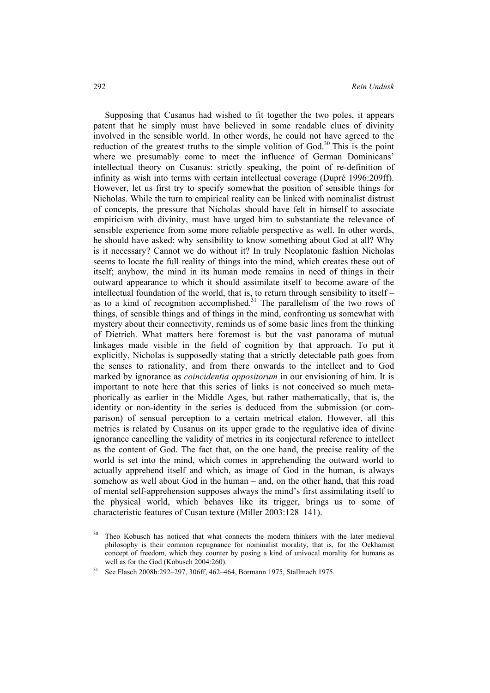Supposing that Cusanus had wished to fit together the two poles, it appears patent that he simply must have believed in some readable clues of divinity involved in the sensible world. In other words, he could not have agreed to the reduction of the greatest truths to the simple volition of  $God.^30$  This is the point where we presumably come to meet the influence of German Dominicans' intellectual theory on Cusanus: strictly speaking, the point of re-definition of infinity as wish into terms with certain intellectual coverage (Dupré 1996:209ff). However, let us first try to specify somewhat the position of sensible things for Nicholas. While the turn to empirical reality can be linked with nominalist distrust of concepts, the pressure that Nicholas should have felt in himself to associate empiricism with divinity, must have urged him to substantiate the relevance of sensible experience from some more reliable perspective as well. In other words, he should have asked: why sensibility to know something about God at all? Why is it necessary? Cannot we do without it? In truly Neoplatonic fashion Nicholas seems to locate the full reality of things into the mind, which creates these out of itself; anyhow, the mind in its human mode remains in need of things in their outward appearance to which it should assimilate itself to become aware of the intellectual foundation of the world, that is, to return through sensibility to itself – as to a kind of recognition accomplished.<sup>31</sup> The parallelism of the two rows of things, of sensible things and of things in the mind, confronting us somewhat with mystery about their connectivity, reminds us of some basic lines from the thinking of Dietrich. What matters here foremost is but the vast panorama of mutual linkages made visible in the field of cognition by that approach. To put it explicitly, Nicholas is supposedly stating that a strictly detectable path goes from the senses to rationality, and from there onwards to the intellect and to God marked by ignorance as *coincidentia oppositorum* in our envisioning of him. It is important to note here that this series of links is not conceived so much metaphorically as earlier in the Middle Ages, but rather mathematically, that is, the identity or non-identity in the series is deduced from the submission (or comparison) of sensual perception to a certain metrical etalon. However, all this metrics is related by Cusanus on its upper grade to the regulative idea of divine ignorance cancelling the validity of metrics in its conjectural reference to intellect as the content of God. The fact that, on the one hand, the precise reality of the world is set into the mind, which comes in apprehending the outward world to actually apprehend itself and which, as image of God in the human, is always somehow as well about God in the human – and, on the other hand, that this road of mental self-apprehension supposes always the mind's first assimilating itself to the physical world, which behaves like its trigger, brings us to some of characteristic features of Cusan texture (Miller 2003:128–141).

<sup>&</sup>lt;sup>30</sup> Theo Kobusch has noticed that what connects the modern thinkers with the later medieval philosophy is their common repugnance for nominalist morality, that is, for the Ockhamist concept of freedom, which they counter by posing a kind of univocal morality for humans as well as for the God (Kobusch 2004:260).<br><sup>31</sup> See Flasch 2008b:292–297, 306ff, 462–464, Bormann 1975, Stallmach 1975.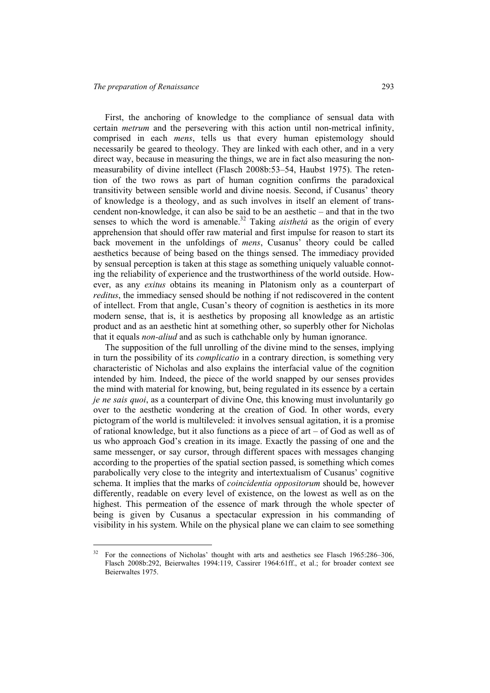l

First, the anchoring of knowledge to the compliance of sensual data with certain *metrum* and the persevering with this action until non-metrical infinity, comprised in each *mens*, tells us that every human epistemology should necessarily be geared to theology. They are linked with each other, and in a very direct way, because in measuring the things, we are in fact also measuring the nonmeasurability of divine intellect (Flasch 2008b:53–54, Haubst 1975). The retention of the two rows as part of human cognition confirms the paradoxical transitivity between sensible world and divine noesis. Second, if Cusanus' theory of knowledge is a theology, and as such involves in itself an element of transcendent non-knowledge, it can also be said to be an aesthetic – and that in the two senses to which the word is amenable.<sup>32</sup> Taking *aisthetá* as the origin of every apprehension that should offer raw material and first impulse for reason to start its back movement in the unfoldings of *mens*, Cusanus' theory could be called aesthetics because of being based on the things sensed. The immediacy provided by sensual perception is taken at this stage as something uniquely valuable connoting the reliability of experience and the trustworthiness of the world outside. However, as any *exitus* obtains its meaning in Platonism only as a counterpart of *reditus*, the immediacy sensed should be nothing if not rediscovered in the content of intellect. From that angle, Cusan's theory of cognition is aesthetics in its more modern sense, that is, it is aesthetics by proposing all knowledge as an artistic product and as an aesthetic hint at something other, so superbly other for Nicholas that it equals *non-aliud* and as such is cathchable only by human ignorance.

The supposition of the full unrolling of the divine mind to the senses, implying in turn the possibility of its *complicatio* in a contrary direction, is something very characteristic of Nicholas and also explains the interfacial value of the cognition intended by him. Indeed, the piece of the world snapped by our senses provides the mind with material for knowing, but, being regulated in its essence by a certain *je ne sais quoi*, as a counterpart of divine One, this knowing must involuntarily go over to the aesthetic wondering at the creation of God. In other words, every pictogram of the world is multileveled: it involves sensual agitation, it is a promise of rational knowledge, but it also functions as a piece of art – of God as well as of us who approach God's creation in its image. Exactly the passing of one and the same messenger, or say cursor, through different spaces with messages changing according to the properties of the spatial section passed, is something which comes parabolically very close to the integrity and intertextualism of Cusanus' cognitive schema. It implies that the marks of *coincidentia oppositorum* should be, however differently, readable on every level of existence, on the lowest as well as on the highest. This permeation of the essence of mark through the whole specter of being is given by Cusanus a spectacular expression in his commanding of visibility in his system. While on the physical plane we can claim to see something

 $32$  For the connections of Nicholas' thought with arts and aesthetics see Flasch 1965:286–306, Flasch 2008b:292, Beierwaltes 1994:119, Cassirer 1964:61ff., et al.; for broader context see Beierwaltes 1975.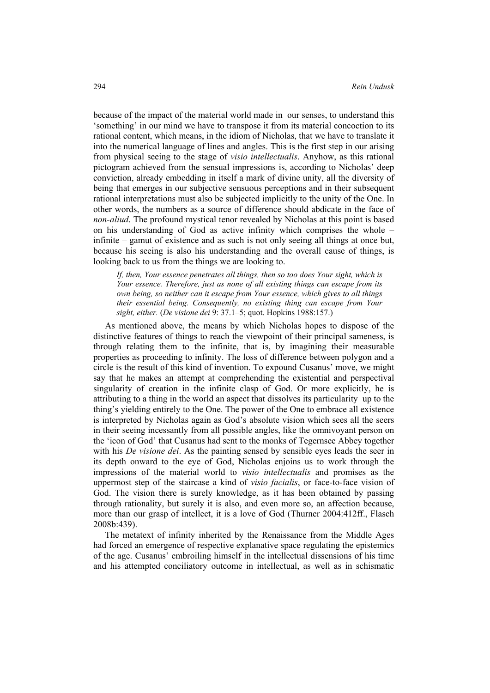because of the impact of the material world made in our senses, to understand this 'something' in our mind we have to transpose it from its material concoction to its rational content, which means, in the idiom of Nicholas, that we have to translate it into the numerical language of lines and angles. This is the first step in our arising from physical seeing to the stage of *visio intellectualis*. Anyhow, as this rational pictogram achieved from the sensual impressions is, according to Nicholas' deep conviction, already embedding in itself a mark of divine unity, all the diversity of being that emerges in our subjective sensuous perceptions and in their subsequent rational interpretations must also be subjected implicitly to the unity of the One. In other words, the numbers as a source of difference should abdicate in the face of *non-aliud*. The profound mystical tenor revealed by Nicholas at this point is based on his understanding of God as active infinity which comprises the whole – infinite – gamut of existence and as such is not only seeing all things at once but, because his seeing is also his understanding and the overall cause of things, is looking back to us from the things we are looking to.

*If, then, Your essence penetrates all things, then so too does Your sight, which is Your essence. Therefore, just as none of all existing things can escape from its own being, so neither can it escape from Your essence, which gives to all things their essential being. Consequently, no existing thing can escape from Your sight, either.* (*De visione dei* 9: 37.1–5; quot. Hopkins 1988:157.)

As mentioned above, the means by which Nicholas hopes to dispose of the distinctive features of things to reach the viewpoint of their principal sameness, is through relating them to the infinite, that is, by imagining their measurable properties as proceeding to infinity. The loss of difference between polygon and a circle is the result of this kind of invention. To expound Cusanus' move, we might say that he makes an attempt at comprehending the existential and perspectival singularity of creation in the infinite clasp of God. Or more explicitly, he is attributing to a thing in the world an aspect that dissolves its particularity up to the thing's yielding entirely to the One. The power of the One to embrace all existence is interpreted by Nicholas again as God's absolute vision which sees all the seers in their seeing incessantly from all possible angles, like the omnivoyant person on the 'icon of God' that Cusanus had sent to the monks of Tegernsee Abbey together with his *De visione dei*. As the painting sensed by sensible eyes leads the seer in its depth onward to the eye of God, Nicholas enjoins us to work through the impressions of the material world to *visio intellectualis* and promises as the uppermost step of the staircase a kind of *visio facialis*, or face-to-face vision of God. The vision there is surely knowledge, as it has been obtained by passing through rationality, but surely it is also, and even more so, an affection because, more than our grasp of intellect, it is a love of God (Thurner 2004:412ff., Flasch 2008b:439).

The metatext of infinity inherited by the Renaissance from the Middle Ages had forced an emergence of respective explanative space regulating the epistemics of the age. Cusanus' embroiling himself in the intellectual dissensions of his time and his attempted conciliatory outcome in intellectual, as well as in schismatic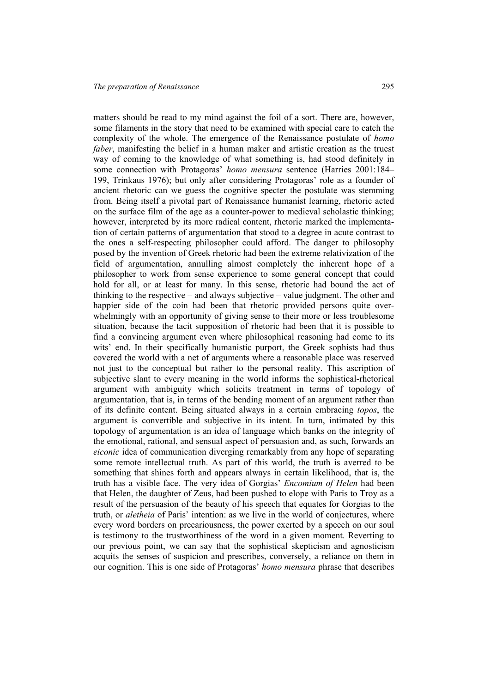matters should be read to my mind against the foil of a sort. There are, however, some filaments in the story that need to be examined with special care to catch the complexity of the whole. The emergence of the Renaissance postulate of *homo faber*, manifesting the belief in a human maker and artistic creation as the truest way of coming to the knowledge of what something is, had stood definitely in some connection with Protagoras' *homo mensura* sentence (Harries 2001:184– 199, Trinkaus 1976); but only after considering Protagoras' role as a founder of ancient rhetoric can we guess the cognitive specter the postulate was stemming from. Being itself a pivotal part of Renaissance humanist learning, rhetoric acted on the surface film of the age as a counter-power to medieval scholastic thinking; however, interpreted by its more radical content, rhetoric marked the implementation of certain patterns of argumentation that stood to a degree in acute contrast to the ones a self-respecting philosopher could afford. The danger to philosophy posed by the invention of Greek rhetoric had been the extreme relativization of the field of argumentation, annulling almost completely the inherent hope of a philosopher to work from sense experience to some general concept that could hold for all, or at least for many. In this sense, rhetoric had bound the act of thinking to the respective – and always subjective – value judgment. The other and happier side of the coin had been that rhetoric provided persons quite overwhelmingly with an opportunity of giving sense to their more or less troublesome situation, because the tacit supposition of rhetoric had been that it is possible to find a convincing argument even where philosophical reasoning had come to its wits' end. In their specifically humanistic purport, the Greek sophists had thus covered the world with a net of arguments where a reasonable place was reserved not just to the conceptual but rather to the personal reality. This ascription of subjective slant to every meaning in the world informs the sophistical-rhetorical argument with ambiguity which solicits treatment in terms of topology of argumentation, that is, in terms of the bending moment of an argument rather than of its definite content. Being situated always in a certain embracing *topos*, the argument is convertible and subjective in its intent. In turn, intimated by this topology of argumentation is an idea of language which banks on the integrity of the emotional, rational, and sensual aspect of persuasion and, as such, forwards an *eiconic* idea of communication diverging remarkably from any hope of separating some remote intellectual truth. As part of this world, the truth is averred to be something that shines forth and appears always in certain likelihood, that is, the truth has a visible face. The very idea of Gorgias' *Encomium of Helen* had been that Helen, the daughter of Zeus, had been pushed to elope with Paris to Troy as a result of the persuasion of the beauty of his speech that equates for Gorgias to the truth, or *aletheia* of Paris' intention: as we live in the world of conjectures, where every word borders on precariousness, the power exerted by a speech on our soul is testimony to the trustworthiness of the word in a given moment. Reverting to our previous point, we can say that the sophistical skepticism and agnosticism acquits the senses of suspicion and prescribes, conversely, a reliance on them in our cognition. This is one side of Protagoras' *homo mensura* phrase that describes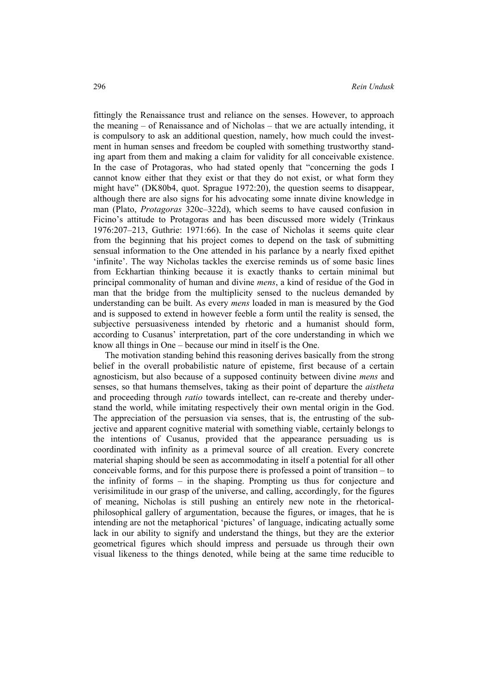fittingly the Renaissance trust and reliance on the senses. However, to approach the meaning – of Renaissance and of Nicholas – that we are actually intending, it is compulsory to ask an additional question, namely, how much could the investment in human senses and freedom be coupled with something trustworthy standing apart from them and making a claim for validity for all conceivable existence. In the case of Protagoras, who had stated openly that "concerning the gods I cannot know either that they exist or that they do not exist, or what form they might have" (DK80b4, quot. Sprague 1972:20), the question seems to disappear, although there are also signs for his advocating some innate divine knowledge in man (Plato, *Protagoras* 320c–322d), which seems to have caused confusion in Ficino's attitude to Protagoras and has been discussed more widely (Trinkaus 1976:207–213, Guthrie: 1971:66). In the case of Nicholas it seems quite clear from the beginning that his project comes to depend on the task of submitting sensual information to the One attended in his parlance by a nearly fixed epithet 'infinite'. The way Nicholas tackles the exercise reminds us of some basic lines from Eckhartian thinking because it is exactly thanks to certain minimal but principal commonality of human and divine *mens*, a kind of residue of the God in man that the bridge from the multiplicity sensed to the nucleus demanded by understanding can be built. As every *mens* loaded in man is measured by the God and is supposed to extend in however feeble a form until the reality is sensed, the subjective persuasiveness intended by rhetoric and a humanist should form, according to Cusanus' interpretation, part of the core understanding in which we know all things in One – because our mind in itself is the One.

The motivation standing behind this reasoning derives basically from the strong belief in the overall probabilistic nature of episteme, first because of a certain agnosticism, but also because of a supposed continuity between divine *mens* and senses, so that humans themselves, taking as their point of departure the *aistheta* and proceeding through *ratio* towards intellect, can re-create and thereby understand the world, while imitating respectively their own mental origin in the God. The appreciation of the persuasion via senses, that is, the entrusting of the subjective and apparent cognitive material with something viable, certainly belongs to the intentions of Cusanus, provided that the appearance persuading us is coordinated with infinity as a primeval source of all creation. Every concrete material shaping should be seen as accommodating in itself a potential for all other conceivable forms, and for this purpose there is professed a point of transition – to the infinity of forms – in the shaping. Prompting us thus for conjecture and verisimilitude in our grasp of the universe, and calling, accordingly, for the figures of meaning, Nicholas is still pushing an entirely new note in the rhetoricalphilosophical gallery of argumentation, because the figures, or images, that he is intending are not the metaphorical 'pictures' of language, indicating actually some lack in our ability to signify and understand the things, but they are the exterior geometrical figures which should impress and persuade us through their own visual likeness to the things denoted, while being at the same time reducible to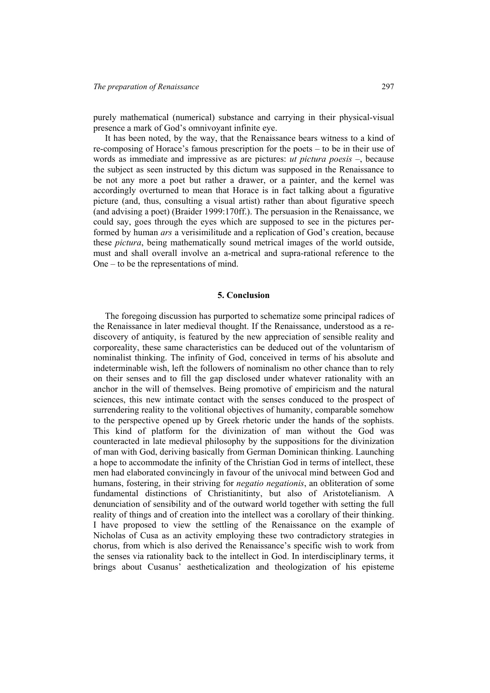purely mathematical (numerical) substance and carrying in their physical-visual presence a mark of God's omnivoyant infinite eye.

It has been noted, by the way, that the Renaissance bears witness to a kind of re-composing of Horace's famous prescription for the poets – to be in their use of words as immediate and impressive as are pictures: *ut pictura poesis* –, because the subject as seen instructed by this dictum was supposed in the Renaissance to be not any more a poet but rather a drawer, or a painter, and the kernel was accordingly overturned to mean that Horace is in fact talking about a figurative picture (and, thus, consulting a visual artist) rather than about figurative speech (and advising a poet) (Braider 1999:170ff.). The persuasion in the Renaissance, we could say, goes through the eyes which are supposed to see in the pictures performed by human *ars* a verisimilitude and a replication of God's creation, because these *pictura*, being mathematically sound metrical images of the world outside, must and shall overall involve an a-metrical and supra-rational reference to the One – to be the representations of mind.

#### **5. Conclusion**

The foregoing discussion has purported to schematize some principal radices of the Renaissance in later medieval thought. If the Renaissance, understood as a rediscovery of antiquity, is featured by the new appreciation of sensible reality and corporeality, these same characteristics can be deduced out of the voluntarism of nominalist thinking. The infinity of God, conceived in terms of his absolute and indeterminable wish, left the followers of nominalism no other chance than to rely on their senses and to fill the gap disclosed under whatever rationality with an anchor in the will of themselves. Being promotive of empiricism and the natural sciences, this new intimate contact with the senses conduced to the prospect of surrendering reality to the volitional objectives of humanity, comparable somehow to the perspective opened up by Greek rhetoric under the hands of the sophists. This kind of platform for the divinization of man without the God was counteracted in late medieval philosophy by the suppositions for the divinization of man with God, deriving basically from German Dominican thinking. Launching a hope to accommodate the infinity of the Christian God in terms of intellect, these men had elaborated convincingly in favour of the univocal mind between God and humans, fostering, in their striving for *negatio negationis*, an obliteration of some fundamental distinctions of Christianitinty, but also of Aristotelianism. A denunciation of sensibility and of the outward world together with setting the full reality of things and of creation into the intellect was a corollary of their thinking. I have proposed to view the settling of the Renaissance on the example of Nicholas of Cusa as an activity employing these two contradictory strategies in chorus, from which is also derived the Renaissance's specific wish to work from the senses via rationality back to the intellect in God. In interdisciplinary terms, it brings about Cusanus' aestheticalization and theologization of his episteme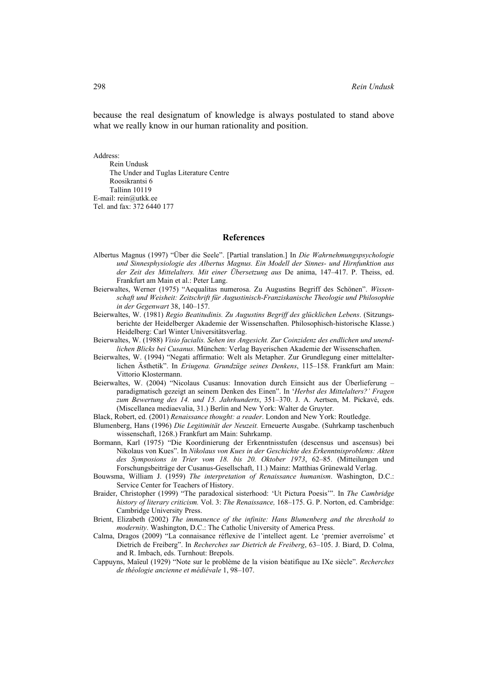because the real designatum of knowledge is always postulated to stand above what we really know in our human rationality and position.

Address:

Rein Undusk The Under and Tuglas Literature Centre Roosikrantsi 6 Tallinn 10119 E-mail: rein@utkk.ee Tel. and fax: 372 6440 177

#### **References**

- Albertus Magnus (1997) "Über die Seele". [Partial translation.] In *Die Wahrnehmungspsychologie und Sinnesphysiologie des Albertus Magnus. Ein Modell der Sinnes- und Hirnfunktion aus der Zeit des Mittelalters. Mit einer Übersetzung aus* De anima, 147–417. P. Theiss, ed. Frankfurt am Main et al.: Peter Lang.
- Beierwaltes, Werner (1975) "Aequalitas numerosa. Zu Augustins Begriff des Schönen". *Wissenschaft und Weisheit: Zeitschrift für Augustinisch-Franziskanische Theologie und Philosophie in der Gegenwart* 38, 140–157.
- Beierwaltes, W. (1981) *Regio Beatitudinis. Zu Augustins Begriff des glücklichen Lebens*. (Sitzungsberichte der Heidelberger Akademie der Wissenschaften. Philosophisch-historische Klasse.) Heidelberg: Carl Winter Universitätsverlag.
- Beierwaltes, W. (1988) *Visio facialis. Sehen ins Angesicht. Zur Coinzidenz des endlichen und unendlichen Blicks bei Cusanus*. München: Verlag Bayerischen Akademie der Wissenschaften.
- Beierwaltes, W. (1994) "Negati affirmatio: Welt als Metapher. Zur Grundlegung einer mittelalterlichen Ästhetik". In *Eriugena. Grundzüge seines Denkens*, 115–158. Frankfurt am Main: Vittorio Klostermann.
- Beierwaltes, W. (2004) "Nicolaus Cusanus: Innovation durch Einsicht aus der Überlieferung paradigmatisch gezeigt an seinem Denken des Einen". In '*Herbst des Mittelalters?' Fragen zum Bewertung des 14. und 15. Jahrhunderts*, 351–370. J. A. Aertsen, M. Pickavé, eds. (Miscellanea mediaevalia, 31.) Berlin and New York: Walter de Gruyter.
- Black, Robert, ed. (2001) *Renaissance thought: a reader*. London and New York: Routledge.
- Blumenberg, Hans (1996) *Die Legitimität der Neuzeit.* Erneuerte Ausgabe. (Suhrkamp taschenbuch wissenschaft, 1268.) Frankfurt am Main: Suhrkamp.
- Bormann, Karl (1975) "Die Koordinierung der Erkenntnisstufen (descensus und ascensus) bei Nikolaus von Kues". In *Nikolaus von Kues in der Geschichte des Erkenntnisproblems: Akten des Symposions in Trier vom 18. bis 20. Oktober 1973*, 62–85. (Mitteilungen und Forschungsbeiträge der Cusanus-Gesellschaft, 11.) Mainz: Matthias Grünewald Verlag.
- Bouwsma, William J. (1959) *The interpretation of Renaissance humanism*. Washington, D.C.: Service Center for Teachers of History.
- Braider, Christopher (1999) "The paradoxical sisterhood: 'Ut Pictura Poesis'". In *The Cambridge history of literary criticism.* Vol. 3: *The Renaissance,* 168–175. G. P. Norton, ed. Cambridge: Cambridge University Press.
- Brient, Elizabeth (2002) *The immanence of the infinite: Hans Blumenberg and the threshold to modernity*. Washington, D.C.: The Catholic University of America Press.
- Calma, Dragos (2009) "La connaisance réflexive de l'intellect agent. Le 'premier averroïsme' et Dietrich de Freiberg". In *Recherches sur Dietrich de Freiberg*, 63–105. J. Biard, D. Colma, and R. Imbach, eds. Turnhout: Brepols.
- Cappuyns, Maïeul (1929) "Note sur le problème de la vision béatifique au IXe siècle". *Recherches de théologie ancienne et médiévale* 1, 98–107.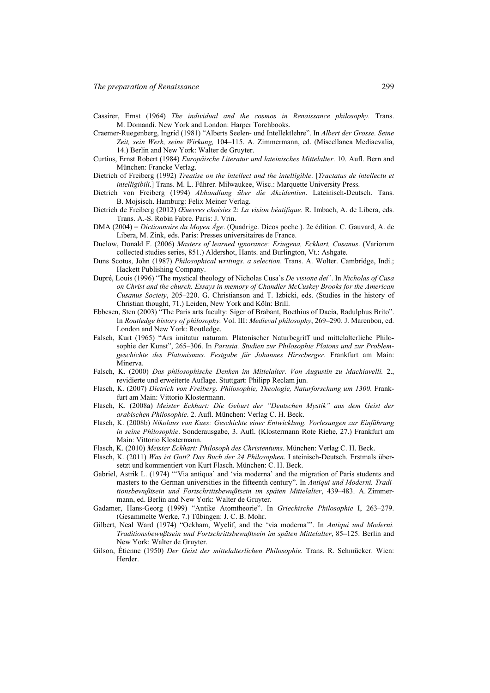- Cassirer, Ernst (1964) *The individual and the cosmos in Renaissance philosophy.* Trans. M. Domandi. New York and London: Harper Torchbooks.
- Craemer-Ruegenberg, Ingrid (1981) "Alberts Seelen- und Intellektlehre". In *Albert der Grosse. Seine Zeit, sein Werk, seine Wirkung,* 104–115. A. Zimmermann, ed. (Miscellanea Mediaevalia, 14.) Berlin and New York: Walter de Gruyter.
- Curtius, Ernst Robert (1984) *Europäische Literatur und lateinisches Mittelalter*. 10. Aufl. Bern and München: Francke Verlag.
- Dietrich of Freiberg (1992) *Treatise on the intellect and the intelligible*. [*Tractatus de intellectu et intelligibili*.] Trans. M. L. Führer. Milwaukee, Wisc.: Marquette University Press.
- Dietrich von Freiberg (1994) *Abhandlung über die Akzidentien*. Lateinisch-Deutsch. Tans. B. Mojsisch. Hamburg: Felix Meiner Verlag.
- Dietrich de Freiberg (2012) *Œuevres choisies* 2: *La vision béatifique*. R. Imbach, A. de Libera, eds. Trans. A.-S. Robin Fabre. Paris: J. Vrin.
- DMA (2004) = *Dictionnaire du Moyen Âge*. (Quadrige. Dicos poche.). 2e édition. C. Gauvard, A. de Libera, M. Zink, eds. Paris: Presses universitaires de France.
- Duclow, Donald F. (2006) *Masters of learned ignorance: Eriugena, Eckhart, Cusanus*. (Variorum collected studies series, 851.) Aldershot, Hants. and Burlington, Vt.: Ashgate.
- Duns Scotus, John (1987) *Philosophical writings. a selection*. Trans. A. Wolter. Cambridge, Indi.; Hackett Publishing Company.
- Dupré, Louis (1996) "The mystical theology of Nicholas Cusa's *De visione dei*". In *Nicholas of Cusa on Christ and the church. Essays in memory of Chandler McCuskey Brooks for the American Cusanus Society*, 205–220. G. Christianson and T. Izbicki, eds. (Studies in the history of Christian thought, 71.) Leiden, New York and Köln: Brill.
- Ebbesen, Sten (2003) "The Paris arts faculty: Siger of Brabant, Boethius of Dacia, Radulphus Brito". In *Routledge history of philosophy.* Vol. III: *Medieval philosophy*, 269–290. J. Marenbon, ed. London and New York: Routledge.
- Falsch, Kurt (1965) "Ars imitatur naturam. Platonischer Naturbegriff und mittelalterliche Philosophie der Kunst", 265–306. In *Parusia. Studien zur Philosophie Platons und zur Problemgeschichte des Platonismus. Festgabe für Johannes Hirscberger*. Frankfurt am Main: Minerva.
- Falsch, K. (2000) *Das philosophische Denken im Mittelalter. Von Augustin zu Machiavelli.* 2., revidierte und erweiterte Auflage. Stuttgart: Philipp Reclam jun.
- Flasch, K. (2007) *Dietrich von Freiberg. Philosophie, Theologie, Naturforschung um 1300*. Frankfurt am Main: Vittorio Klostermann.
- Flasch, K. (2008a) *Meister Eckhart: Die Geburt der "Deutschen Mystik" aus dem Geist der arabischen Philosophie*. 2. Aufl. München: Verlag C. H. Beck.
- Flasch, K. (2008b) *Nikolaus von Kues: Geschichte einer Entwicklung. Vorlesungen zur Einführung in seine Philosophie*. Sonderausgabe, 3. Aufl. (Klostermann Rote Riehe, 27.) Frankfurt am Main: Vittorio Klostermann.
- Flasch, K. (2010) *Meister Eckhart: Philosoph des Christentums*. München: Verlag C. H. Beck.
- Flasch, K. (2011) *Was ist Gott? Das Buch der 24 Philosophen*. Lateinisch-Deutsch. Erstmals übersetzt und kommentiert von Kurt Flasch. München: C. H. Beck.
- Gabriel, Astrik L. (1974) "'Via antiqua' and 'via moderna' and the migration of Paris students and masters to the German universities in the fifteenth century". In *Antiqui und Moderni. Traditionsbewußtsein und Fortschrittsbewußtsein im späten Mittelalter*, 439–483. A. Zimmermann, ed. Berlin and New York: Walter de Gruyter.
- Gadamer, Hans-Georg (1999) "Antike Atomtheorie". In *Griechische Philosophie* I, 263–279. (Gesammelte Werke, 7.) Tübingen: J. C. B. Mohr.
- Gilbert, Neal Ward (1974) "Ockham, Wyclif, and the 'via moderna'". In *Antiqui und Moderni. Traditionsbewußtsein und Fortschrittsbewußtsein im späten Mittelalter*, 85–125. Berlin and New York: Walter de Gruyter.
- Gilson, Étienne (1950) *Der Geist der mittelalterlichen Philosophie.* Trans. R. Schmücker. Wien: Herder.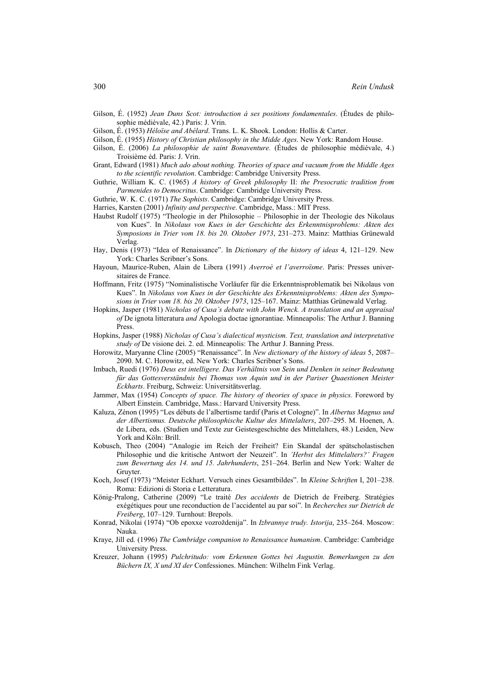Gilson, É. (1952) *Jean Duns Scot: introduction á ses positions fondamentales*. (Études de philosophie médiévale, 42.) Paris: J. Vrin.

- Gilson, É. (1953) *Héloїse and Abélard*. Trans. L. K. Shook. London: Hollis & Carter.
- Gilson, É. (1955) *History of Christian philosophy in the Midde Ages*. New York: Random House.
- Gilson, É. (2006) *La philosophie de saint Bonaventure.* (Études de philosophie médiévale, 4.) Troisième éd. Paris: J. Vrin.
- Grant, Edward (1981) *Much ado about nothing. Theories of space and vacuum from the Middle Ages to the scientific revolution*. Cambridge: Cambridge University Press.
- Guthrie, William K. C. (1965) *A history of Greek philosophy* II: *the Presocratic tradition from Parmenides to Democritus*. Cambridge: Cambridge University Press.
- Guthrie, W. K. C. (1971) *The Sophists*. Cambridge: Cambridge University Press.
- Harries, Karsten (2001) *Infinity and perspective*. Cambridge, Mass.: MIT Press.
- Haubst Rudolf (1975) "Theologie in der Philosophie Philosophie in der Theologie des Nikolaus von Kues". In *Nikolaus von Kues in der Geschichte des Erkenntnisproblems: Akten des Symposions in Trier vom 18. bis 20. Oktober 1973*, 231–273. Mainz: Matthias Grünewald Verlag.
- Hay, Denis (1973) "Idea of Renaissance". In *Dictionary of the history of ideas* 4, 121–129. New York: Charles Scribner's Sons.
- Hayoun, Maurice-Ruben, Alain de Libera (1991) *Averroè et l'averroïsme*. Paris: Presses universitaires de France.
- Hoffmann, Fritz (1975) "Nominalistische Vorläufer für die Erkenntnisproblematik bei Nikolaus von Kues". In *Nikolaus von Kues in der Geschichte des Erkenntnisproblems: Akten des Symposions in Trier vom 18. bis 20. Oktober 1973*, 125–167. Mainz: Matthias Grünewald Verlag.
- Hopkins, Jasper (1981) *Nicholas of Cusa's debate with John Wenck. A translation and an appraisal of* De ignota litteratura *and* Apologia doctae ignorantiae. Minneapolis: The Arthur J. Banning Press.
- Hopkins, Jasper (1988) *Nicholas of Cusa's dialectical mysticism. Text, translation and interpretative study of* De visione dei. 2. ed. Minneapolis: The Arthur J. Banning Press.
- Horowitz, Maryanne Cline (2005) "Renaissance". In *New dictionary of the history of ideas* 5, 2087– 2090. M. C. Horowitz, ed. New York: Charles Scribner's Sons.
- Imbach, Ruedi (1976) *Deus est intelligere. Das Verhältnis von Sein und Denken in seiner Bedeutung für das Gottesverständnis bei Thomas von Aquin und in der Pariser Quaestionen Meister Eckharts*. Freiburg, Schweiz: Universitätsverlag.
- Jammer, Max (1954) *Concepts of space. The history of theories of space in physics.* Foreword by Albert Einstein. Cambridge, Mass.: Harvard University Press.
- Kaluza, Zénon (1995) "Les débuts de l'albertisme tardif (Paris et Cologne)". In *Albertus Magnus und der Albertismus. Deutsche philosophische Kultur des Mittelalters*, 207–295. M. Hoenen, A. de Libera, eds. (Studien und Texte zur Geistesgeschichte des Mittelalters, 48.) Leiden, New York and Köln: Brill.
- Kobusch, Theo (2004) "Analogie im Reich der Freiheit? Ein Skandal der spätscholastischen Philosophie und die kritische Antwort der Neuzeit". In *'Herbst des Mittelalters?' Fragen zum Bewertung des 14. und 15. Jahrhunderts*, 251–264. Berlin and New York: Walter de Gruyter.
- Koch, Josef (1973) "Meister Eckhart. Versuch eines Gesamtbildes". In *Kleine Schriften* I, 201–238. Roma: Edizioni di Storia e Letteratura.
- König-Pralong, Catherine (2009) "Le traité *Des accidents* de Dietrich de Freiberg. Stratégies exégétiques pour une reconduction de l'accidentel au par soi". In *Recherches sur Dietrich de Freiberg*, 107–129. Turnhout: Brepols.
- Konrad, Nikolai (1974) "Ob epoxxe vozroždenija". In *Izbrannye trudy. Istorija*, 235–264. Moscow: Nauka.
- Kraye, Jill ed. (1996) *The Cambridge companion to Renaissance humanism*. Cambridge: Cambridge University Press.
- Kreuzer, Johann (1995) *Pulchritudo: vom Erkennen Gottes bei Augustin. Bemerkungen zu den Büchern IX, X und XI der* Confessiones. München: Wilhelm Fink Verlag.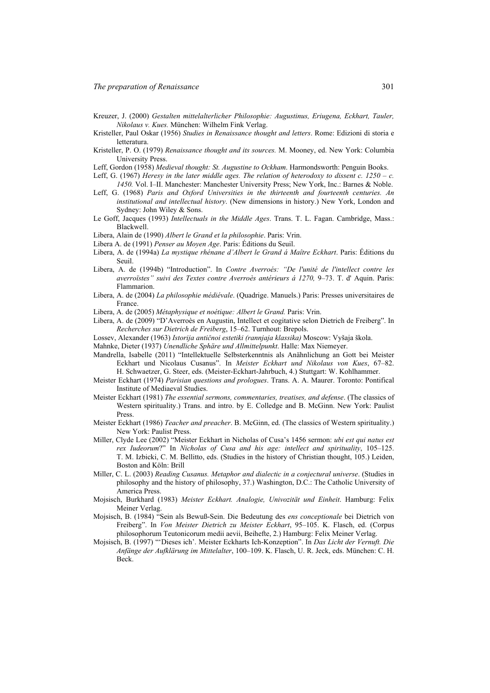- Kreuzer, J. (2000) *Gestalten mittelalterlicher Philosophie: Augustinus, Eriugena, Eckhart, Tauler, Nikolaus v. Kues.* München: Wilhelm Fink Verlag.
- Kristeller, Paul Oskar (1956) *Studies in Renaissance thought and letters*. Rome: Edizioni di storia e letteratura.
- Kristeller, P. O. (1979) *Renaissance thought and its sources.* M. Mooney, ed. New York: Columbia University Press.
- Leff, Gordon (1958) *Medieval thought: St. Augustine to Ockham*. Harmondsworth: Penguin Books.
- Leff, G. (1967) *Heresy in the later middle ages. The relation of heterodoxy to dissent c.* 1250 c. *1450.* Vol. I–II. Manchester: Manchester University Press; New York, Inc.: Barnes & Noble.
- Leff, G. (1968) *Paris and Oxford Universities in the thirteenth and fourteenth centuries. An institutional and intellectual history*. (New dimensions in history.) New York, London and Sydney: John Wiley & Sons.
- Le Goff, Jacques (1993) *Intellectuals in the Middle Ages*. Trans. T. L. Fagan. Cambridge, Mass.: Blackwell.
- Libera, Alain de (1990) *Albert le Grand et la philosophie*. Paris: Vrin.
- Libera A. de (1991) *Penser au Moyen Age*. Paris: Éditions du Seuil.
- Libera, A. de (1994a) *La mystique rhénane d'Albert le Grand á Maître Eckhart*. Paris: Éditions du Seuil.
- Libera, A. de (1994b) "Introduction". In *Contre Averroés: "De l'unité de l'intellect contre les averroïstes" suivi des Textes contre Averroès antérieurs á 1270,* 9–73. T. d' Aquin. Paris: Flammarion.
- Libera, A. de (2004) *La philosophie médiévale*. (Quadrige. Manuels.) Paris: Presses universitaires de France.
- Libera, A. de (2005) *Métaphysique et noétique: Albert le Grand.* Paris: Vrin.
- Libera, A. de (2009) "D'Averroès en Augustin, Intellect et cogitative selon Dietrich de Freiberg". In *Recherches sur Dietrich de Freiberg*, 15–62. Turnhout: Brepols.
- Lossev, Alexander (1963) *Istorija antičnoi estetiki (rannjaja klassika)* Moscow: Vyšaja škola.
- Mahnke, Dieter (1937) *Unendliche Sphäre und Allmittelpunkt*. Halle: Max Niemeyer.
- Mandrella, Isabelle (2011) "Intellektuelle Selbsterkenntnis als Anähnlichung an Gott bei Meister Eckhart und Nicolaus Cusanus". In *Meister Eckhart und Nikolaus von Kues*, 67–82. H. Schwaetzer, G. Steer, eds. (Meister-Eckhart-Jahrbuch, 4.) Stuttgart: W. Kohlhammer.
- Meister Eckhart (1974) *Parisian questions and prologues*. Trans. A. A. Maurer. Toronto: Pontifical Institute of Mediaeval Studies.
- Meister Eckhart (1981) *The essential sermons, commentaries, treatises, and defense*. (The classics of Western spirituality.) Trans. and intro. by E. Colledge and B. McGinn. New York: Paulist Press.
- Meister Eckhart (1986) *Teacher and preacher*. B. McGinn, ed. (The classics of Western spirituality.) New York: Paulist Press.
- Miller, Clyde Lee (2002) "Meister Eckhart in Nicholas of Cusa's 1456 sermon: *ubi est qui natus est rex Iudeorum*?" In *Nicholas of Cusa and his age: intellect and spirituality*, 105–125. T. M. Izbicki, C. M. Bellitto, eds. (Studies in the history of Christian thought, 105.) Leiden, Boston and Köln: Brill
- Miller, C. L. (2003) *Reading Cusanus. Metaphor and dialectic in a conjectural universe*. (Studies in philosophy and the history of philosophy, 37.) Washington, D.C.: The Catholic University of America Press.
- Mojsisch, Burkhard (1983) *Meister Eckhart. Analogie, Univozität und Einheit*. Hamburg: Felix Meiner Verlag.
- Mojsisch, B. (1984) "Sein als Bewuß-Sein. Die Bedeutung des *ens conceptionale* bei Dietrich von Freiberg". In *Von Meister Dietrich zu Meister Eckhart*, 95–105. K. Flasch, ed. (Corpus philosophorum Teutonicorum medii aevii, Beihefte, 2.) Hamburg: Felix Meiner Verlag.
- Mojsisch, B. (1997) "'Dieses ich'. Meister Eckharts Ich-Konzeption". In *Das Licht der Vernuft. Die Anfänge der Aufklärung im Mittelalter*, 100–109. K. Flasch, U. R. Jeck, eds. München: C. H. Beck.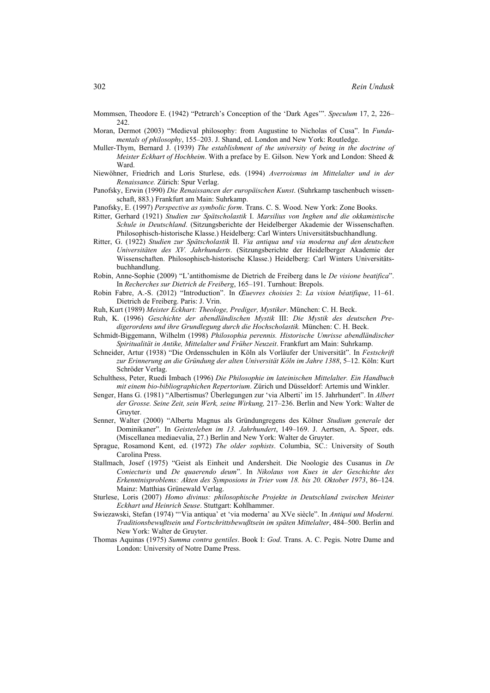Mommsen, Theodore E. (1942) "Petrarch's Conception of the 'Dark Ages'". *Speculum* 17, 2, 226– 242.

- Moran, Dermot (2003) "Medieval philosophy: from Augustine to Nicholas of Cusa". In *Fundamentals of philosophy*, 155–203. J. Shand, ed. London and New York: Routledge.
- Muller-Thym, Bernard J. (1939) *The establishment of the university of being in the doctrine of Meister Eckhart of Hochheim*. With a preface by E. Gilson. New York and London: Sheed & Ward.
- Niewöhner, Friedrich and Loris Sturlese, eds. (1994) *Averroismus im Mittelalter und in der Renaissance.* Zürich: Spur Verlag.
- Panofsky, Erwin (1990) *Die Renaissancen der europäischen Kunst*. (Suhrkamp taschenbuch wissenschaft, 883.) Frankfurt am Main: Suhrkamp.

Panofsky, E. (1997) *Perspective as symbolic form*. Trans. C. S. Wood. New York: Zone Books.

- Ritter, Gerhard (1921) *Studien zur Spätscholastik* I. *Marsilius von Inghen und die okkamistische Schule in Deutschland*. (Sitzungsberichte der Heidelberger Akademie der Wissenschaften. Philosophisch-historische Klasse.) Heidelberg: Carl Winters Universitätsbuchhandlung.
- Ritter, G. (1922) *Studien zur Spätscholastik* II. *Via antiqua und via moderna auf den deutschen Universitäten des XV. Jahrhunderts*. (Sitzungsberichte der Heidelberger Akademie der Wissenschaften. Philosophisch-historische Klasse.) Heidelberg: Carl Winters Universitätsbuchhandlung.
- Robin, Anne-Sophie (2009) "L'antithomisme de Dietrich de Freiberg dans le *De visione beatifica*". In *Recherches sur Dietrich de Freiberg*, 165–191. Turnhout: Brepols.
- Robin Fabre, A.-S. (2012) "Introduction". In *Œuevres choisies* 2: *La vision béatifique*, 11–61. Dietrich de Freiberg. Paris: J. Vrin.
- Ruh, Kurt (1989) *Meister Eckhart: Theologe, Prediger, Mystiker*. München: C. H. Beck.
- Ruh, K. (1996) *Geschichte der abendländischen Mystik* III: *Die Mystik des deutschen Predigerordens und ihre Grundlegung durch die Hochscholastik.* München: C. H. Beck.
- Schmidt-Biggemann, Wilhelm (1998) *Philosophia perennis. Historische Umrisse abendländischer Spiritualität in Antike, Mittelalter und Früher Neuzeit*. Frankfurt am Main: Suhrkamp.
- Schneider, Artur (1938) "Die Ordensschulen in Köln als Vorläufer der Universität". In *Festschrift zur Erinnerung an die Gründung der alten Universität Köln im Jahre 1388*, 5–12. Köln: Kurt Schröder Verlag.
- Schulthess, Peter, Ruedi Imbach (1996) *Die Philosophie im lateinischen Mittelalter. Ein Handbuch mit einem bio-bibliographichen Repertorium*. Zürich und Düsseldorf: Artemis und Winkler.
- Senger, Hans G. (1981) "Albertismus? Überlegungen zur 'via Alberti' im 15. Jahrhundert". In *Albert der Grosse. Seine Zeit, sein Werk, seine Wirkung,* 217–236. Berlin and New York: Walter de Gruyter.
- Senner, Walter (2000) "Albertu Magnus als Gründungregens des Kölner *Studium generale* der Dominikaner". In *Geistesleben im 13. Jahrhundert*, 149–169. J. Aertsen, A. Speer, eds. (Miscellanea mediaevalia, 27.) Berlin and New York: Walter de Gruyter.
- Sprague, Rosamond Kent, ed. (1972) *The older sophists*. Columbia, SC.: University of South Carolina Press.
- Stallmach, Josef (1975) "Geist als Einheit und Andersheit. Die Noologie des Cusanus in *De Coniecturis* und *De quaerendo deum*". In *Nikolaus von Kues in der Geschichte des Erkenntnisproblems: Akten des Symposions in Trier vom 18. bis 20. Oktober 1973*, 86–124. Mainz: Matthias Grünewald Verlag.
- Sturlese, Loris (2007) *Homo divinus: philosophische Projekte in Deutschland zwischen Meister Eckhart und Heinrich Seuse*. Stuttgart: Kohlhammer.
- Swiezawski, Stefan (1974) "'Via antiqua' et 'via moderna' au XVe siècle". In *Antiqui und Moderni. Traditionsbewußtsein und Fortschrittsbewußtsein im späten Mittelalter*, 484–500. Berlin and New York: Walter de Gruyter.
- Thomas Aquinas (1975) *Summa contra gentiles*. Book I: *God*. Trans. A. C. Pegis. Notre Dame and London: University of Notre Dame Press.